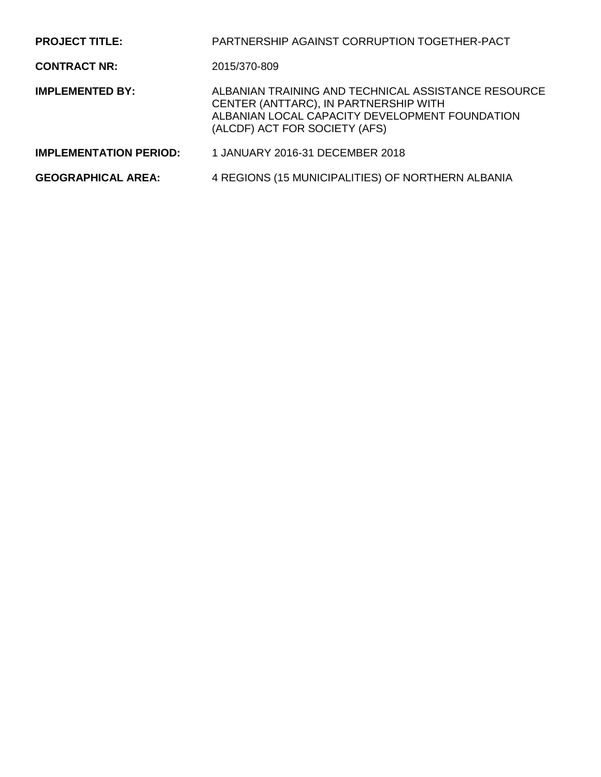| <b>PROJECT TITLE:</b>         | PARTNERSHIP AGAINST CORRUPTION TOGETHER-PACT                                                                                                                                    |
|-------------------------------|---------------------------------------------------------------------------------------------------------------------------------------------------------------------------------|
| <b>CONTRACT NR:</b>           | 2015/370-809                                                                                                                                                                    |
| <b>IMPLEMENTED BY:</b>        | ALBANIAN TRAINING AND TECHNICAL ASSISTANCE RESOURCE<br>CENTER (ANTTARC), IN PARTNERSHIP WITH<br>ALBANIAN LOCAL CAPACITY DEVELOPMENT FOUNDATION<br>(ALCDF) ACT FOR SOCIETY (AFS) |
| <b>IMPLEMENTATION PERIOD:</b> | 1 JANUARY 2016-31 DECEMBER 2018                                                                                                                                                 |
| <b>GEOGRAPHICAL AREA:</b>     | 4 REGIONS (15 MUNICIPALITIES) OF NORTHERN ALBANIA                                                                                                                               |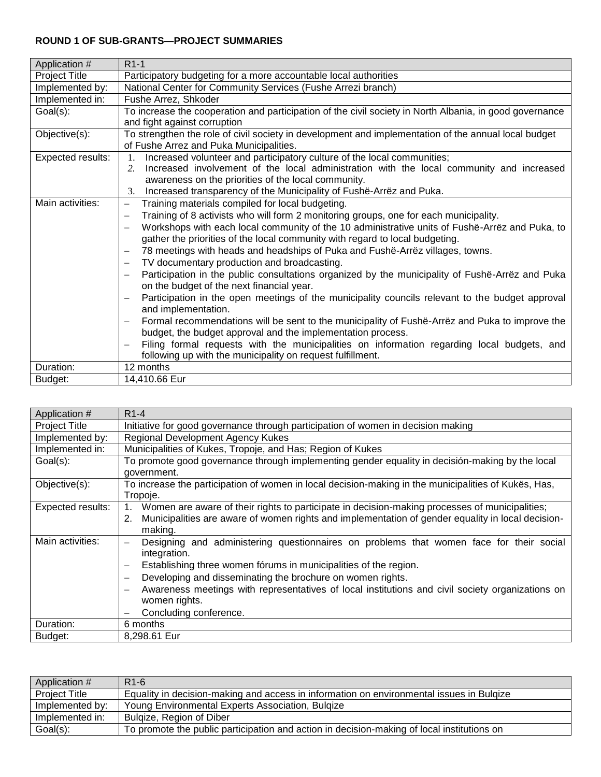## **ROUND 1 OF SUB-GRANTS—PROJECT SUMMARIES**

| Application #        | $R1-1$                                                                                                                                                                                                                                                                                                                                                                                                                                                                                                                                                                                                                                                                                                                                                                                                                                                                                                                                                                                                                                                                                                                                                                                                                                                                                          |
|----------------------|-------------------------------------------------------------------------------------------------------------------------------------------------------------------------------------------------------------------------------------------------------------------------------------------------------------------------------------------------------------------------------------------------------------------------------------------------------------------------------------------------------------------------------------------------------------------------------------------------------------------------------------------------------------------------------------------------------------------------------------------------------------------------------------------------------------------------------------------------------------------------------------------------------------------------------------------------------------------------------------------------------------------------------------------------------------------------------------------------------------------------------------------------------------------------------------------------------------------------------------------------------------------------------------------------|
| <b>Project Title</b> | Participatory budgeting for a more accountable local authorities                                                                                                                                                                                                                                                                                                                                                                                                                                                                                                                                                                                                                                                                                                                                                                                                                                                                                                                                                                                                                                                                                                                                                                                                                                |
| Implemented by:      | National Center for Community Services (Fushe Arrezi branch)                                                                                                                                                                                                                                                                                                                                                                                                                                                                                                                                                                                                                                                                                                                                                                                                                                                                                                                                                                                                                                                                                                                                                                                                                                    |
| Implemented in:      | Fushe Arrez, Shkoder                                                                                                                                                                                                                                                                                                                                                                                                                                                                                                                                                                                                                                                                                                                                                                                                                                                                                                                                                                                                                                                                                                                                                                                                                                                                            |
| Goal(s):             | To increase the cooperation and participation of the civil society in North Albania, in good governance                                                                                                                                                                                                                                                                                                                                                                                                                                                                                                                                                                                                                                                                                                                                                                                                                                                                                                                                                                                                                                                                                                                                                                                         |
|                      | and fight against corruption                                                                                                                                                                                                                                                                                                                                                                                                                                                                                                                                                                                                                                                                                                                                                                                                                                                                                                                                                                                                                                                                                                                                                                                                                                                                    |
| Objective(s):        | To strengthen the role of civil society in development and implementation of the annual local budget<br>of Fushe Arrez and Puka Municipalities.                                                                                                                                                                                                                                                                                                                                                                                                                                                                                                                                                                                                                                                                                                                                                                                                                                                                                                                                                                                                                                                                                                                                                 |
| Expected results:    | Increased volunteer and participatory culture of the local communities;<br>1.<br>Increased involvement of the local administration with the local community and increased<br>2.<br>awareness on the priorities of the local community.<br>Increased transparency of the Municipality of Fushe-Arrez and Puka.<br>3.                                                                                                                                                                                                                                                                                                                                                                                                                                                                                                                                                                                                                                                                                                                                                                                                                                                                                                                                                                             |
| Main activities:     | Training materials compiled for local budgeting.<br>$\overline{\phantom{m}}$<br>Training of 8 activists who will form 2 monitoring groups, one for each municipality.<br>$\overbrace{\phantom{123221111}}$<br>Workshops with each local community of the 10 administrative units of Fushë-Arrëz and Puka, to<br>$\overline{\phantom{0}}$<br>gather the priorities of the local community with regard to local budgeting.<br>78 meetings with heads and headships of Puka and Fushë-Arrëz villages, towns.<br>$\overline{\phantom{m}}$<br>TV documentary production and broadcasting.<br>Participation in the public consultations organized by the municipality of Fushë-Arrëz and Puka<br>$\overbrace{\phantom{1232211}}$<br>on the budget of the next financial year.<br>Participation in the open meetings of the municipality councils relevant to the budget approval<br>and implementation.<br>Formal recommendations will be sent to the municipality of Fushe-Arrez and Puka to improve the<br>$\overline{\phantom{m}}$<br>budget, the budget approval and the implementation process.<br>Filing formal requests with the municipalities on information regarding local budgets, and<br>$\overbrace{\phantom{123221111}}$<br>following up with the municipality on request fulfillment. |
| Duration:            | 12 months                                                                                                                                                                                                                                                                                                                                                                                                                                                                                                                                                                                                                                                                                                                                                                                                                                                                                                                                                                                                                                                                                                                                                                                                                                                                                       |
| Budget:              | 14,410.66 Eur                                                                                                                                                                                                                                                                                                                                                                                                                                                                                                                                                                                                                                                                                                                                                                                                                                                                                                                                                                                                                                                                                                                                                                                                                                                                                   |

| Application #        | $R1-4$                                                                                                                       |
|----------------------|------------------------------------------------------------------------------------------------------------------------------|
| <b>Project Title</b> | Initiative for good governance through participation of women in decision making                                             |
| Implemented by:      | Regional Development Agency Kukes                                                                                            |
| Implemented in:      | Municipalities of Kukes, Tropoje, and Has; Region of Kukes                                                                   |
| Goal(s):             | To promote good governance through implementing gender equality in decisión-making by the local                              |
|                      | government.                                                                                                                  |
| Objective(s):        | To increase the participation of women in local decision-making in the municipalities of Kukës, Has,                         |
|                      | Tropoje.                                                                                                                     |
| Expected results:    | Women are aware of their rights to participate in decision-making processes of municipalities;                               |
|                      | Municipalities are aware of women rights and implementation of gender equality in local decision-<br>2.                      |
|                      | making.                                                                                                                      |
| Main activities:     | Designing and administering questionnaires on problems that women face for their social<br>$\overline{\phantom{0}}$          |
|                      | integration.                                                                                                                 |
|                      | Establishing three women fórums in municipalities of the region.<br>$\overline{\phantom{0}}$                                 |
|                      | Developing and disseminating the brochure on women rights.<br>$\overline{\phantom{0}}$                                       |
|                      | Awareness meetings with representatives of local institutions and civil society organizations on<br>$\overline{\phantom{0}}$ |
|                      | women rights.                                                                                                                |
|                      | Concluding conference.                                                                                                       |
| Duration:            | 6 months                                                                                                                     |
| Budget:              | 8,298.61 Eur                                                                                                                 |

| Application #        | R <sub>1-6</sub>                                                                           |
|----------------------|--------------------------------------------------------------------------------------------|
| <b>Project Title</b> | Equality in decision-making and access in information on environmental issues in Bulgize   |
| Implemented by:      | Young Environmental Experts Association, Bulgize                                           |
| Implemented in:      | Bulgize, Region of Diber                                                                   |
| Goal(s):             | To promote the public participation and action in decision-making of local institutions on |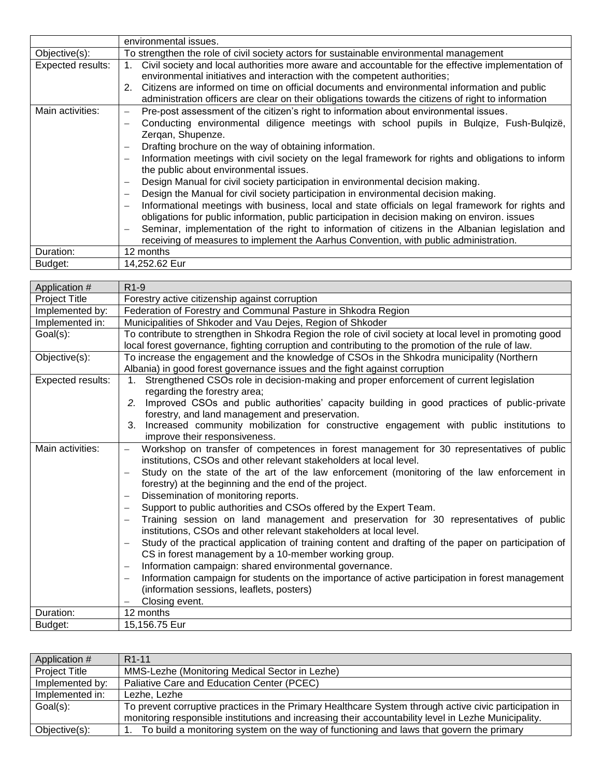|                   | environmental issues.                                                                                                                                                                                                                                                                                                                                                                                                                                                                                                                                                                                                                                                                                                                                                                                                                                                                                                                                                                                                                                                                                                                                |
|-------------------|------------------------------------------------------------------------------------------------------------------------------------------------------------------------------------------------------------------------------------------------------------------------------------------------------------------------------------------------------------------------------------------------------------------------------------------------------------------------------------------------------------------------------------------------------------------------------------------------------------------------------------------------------------------------------------------------------------------------------------------------------------------------------------------------------------------------------------------------------------------------------------------------------------------------------------------------------------------------------------------------------------------------------------------------------------------------------------------------------------------------------------------------------|
| Objective(s):     | To strengthen the role of civil society actors for sustainable environmental management                                                                                                                                                                                                                                                                                                                                                                                                                                                                                                                                                                                                                                                                                                                                                                                                                                                                                                                                                                                                                                                              |
| Expected results: | Civil society and local authorities more aware and accountable for the effective implementation of<br>environmental initiatives and interaction with the competent authorities;                                                                                                                                                                                                                                                                                                                                                                                                                                                                                                                                                                                                                                                                                                                                                                                                                                                                                                                                                                      |
|                   | 2. Citizens are informed on time on official documents and environmental information and public<br>administration officers are clear on their obligations towards the citizens of right to information                                                                                                                                                                                                                                                                                                                                                                                                                                                                                                                                                                                                                                                                                                                                                                                                                                                                                                                                               |
| Main activities:  | Pre-post assessment of the citizen's right to information about environmental issues.<br>-<br>Conducting environmental diligence meetings with school pupils in Bulgize, Fush-Bulgizë,<br>$\overline{\phantom{0}}$<br>Zergan, Shupenze.<br>Drafting brochure on the way of obtaining information.<br>$\overline{\phantom{0}}$<br>Information meetings with civil society on the legal framework for rights and obligations to inform<br>$\overline{\phantom{0}}$<br>the public about environmental issues.<br>Design Manual for civil society participation in environmental decision making.<br>Design the Manual for civil society participation in environmental decision making.<br>$\overline{\phantom{0}}$<br>Informational meetings with business, local and state officials on legal framework for rights and<br>$\overline{\phantom{0}}$<br>obligations for public information, public participation in decision making on environ. issues<br>Seminar, implementation of the right to information of citizens in the Albanian legislation and<br>—<br>receiving of measures to implement the Aarhus Convention, with public administration. |
| Duration:         | 12 months                                                                                                                                                                                                                                                                                                                                                                                                                                                                                                                                                                                                                                                                                                                                                                                                                                                                                                                                                                                                                                                                                                                                            |
| Budget:           | 14,252.62 Eur                                                                                                                                                                                                                                                                                                                                                                                                                                                                                                                                                                                                                                                                                                                                                                                                                                                                                                                                                                                                                                                                                                                                        |

| Application #        | $R1-9$                                                                                                                                                      |
|----------------------|-------------------------------------------------------------------------------------------------------------------------------------------------------------|
| <b>Project Title</b> | Forestry active citizenship against corruption                                                                                                              |
| Implemented by:      | Federation of Forestry and Communal Pasture in Shkodra Region                                                                                               |
| Implemented in:      | Municipalities of Shkoder and Vau Dejes, Region of Shkoder                                                                                                  |
| Goal(s):             | To contribute to strengthen in Shkodra Region the role of civil society at local level in promoting good                                                    |
|                      | local forest governance, fighting corruption and contributing to the promotion of the rule of law.                                                          |
| Objective(s):        | To increase the engagement and the knowledge of CSOs in the Shkodra municipality (Northern                                                                  |
|                      | Albania) in good forest governance issues and the fight against corruption                                                                                  |
| Expected results:    | Strengthened CSOs role in decision-making and proper enforcement of current legislation<br>1 <sub>1</sub>                                                   |
|                      | regarding the forestry area;                                                                                                                                |
|                      | 2. Improved CSOs and public authorities' capacity building in good practices of public-private                                                              |
|                      | forestry, and land management and preservation.                                                                                                             |
|                      | Increased community mobilization for constructive engagement with public institutions to<br>3.                                                              |
|                      | improve their responsiveness.                                                                                                                               |
| Main activities:     | Workshop on transfer of competences in forest management for 30 representatives of public                                                                   |
|                      | institutions, CSOs and other relevant stakeholders at local level.                                                                                          |
|                      | Study on the state of the art of the law enforcement (monitoring of the law enforcement in                                                                  |
|                      | forestry) at the beginning and the end of the project.                                                                                                      |
|                      | Dissemination of monitoring reports.                                                                                                                        |
|                      | Support to public authorities and CSOs offered by the Expert Team.                                                                                          |
|                      | Training session on land management and preservation for 30 representatives of public<br>institutions, CSOs and other relevant stakeholders at local level. |
|                      | Study of the practical application of training content and drafting of the paper on participation of                                                        |
|                      | CS in forest management by a 10-member working group.                                                                                                       |
|                      | Information campaign: shared environmental governance.                                                                                                      |
|                      | Information campaign for students on the importance of active participation in forest management                                                            |
|                      | (information sessions, leaflets, posters)                                                                                                                   |
|                      | Closing event.                                                                                                                                              |
| Duration:            | 12 months                                                                                                                                                   |
| Budget:              | 15,156.75 Eur                                                                                                                                               |

| Application #        | R <sub>1</sub> -11                                                                                     |
|----------------------|--------------------------------------------------------------------------------------------------------|
| <b>Project Title</b> | MMS-Lezhe (Monitoring Medical Sector in Lezhe)                                                         |
| Implemented by:      | Paliative Care and Education Center (PCEC)                                                             |
| Implemented in:      | Lezhe, Lezhe                                                                                           |
| Goal(s):             | To prevent corruptive practices in the Primary Healthcare System through active civic participation in |
|                      | monitoring responsible institutions and increasing their accountability level in Lezhe Municipality.   |
| Objective(s):        | To build a monitoring system on the way of functioning and laws that govern the primary                |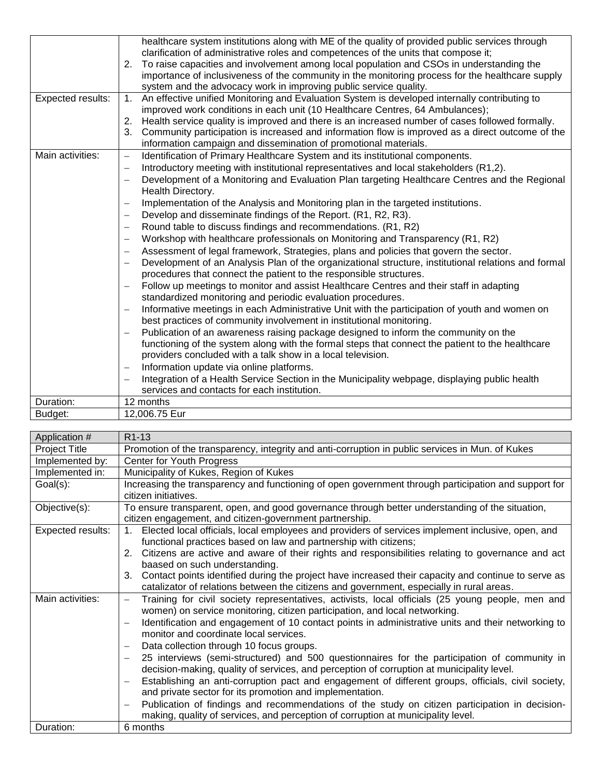|                   | healthcare system institutions along with ME of the quality of provided public services through                                                                                      |
|-------------------|--------------------------------------------------------------------------------------------------------------------------------------------------------------------------------------|
|                   | clarification of administrative roles and competences of the units that compose it;                                                                                                  |
|                   | 2. To raise capacities and involvement among local population and CSOs in understanding the                                                                                          |
|                   | importance of inclusiveness of the community in the monitoring process for the healthcare supply                                                                                     |
|                   | system and the advocacy work in improving public service quality.                                                                                                                    |
| Expected results: | An effective unified Monitoring and Evaluation System is developed internally contributing to<br>1.<br>improved work conditions in each unit (10 Healthcare Centres, 64 Ambulances); |
|                   | 2. Health service quality is improved and there is an increased number of cases followed formally.                                                                                   |
|                   | 3.<br>Community participation is increased and information flow is improved as a direct outcome of the                                                                               |
|                   | information campaign and dissemination of promotional materials.                                                                                                                     |
| Main activities:  | Identification of Primary Healthcare System and its institutional components.<br>$\overline{\phantom{0}}$                                                                            |
|                   | Introductory meeting with institutional representatives and local stakeholders (R1,2).                                                                                               |
|                   | Development of a Monitoring and Evaluation Plan targeting Healthcare Centres and the Regional                                                                                        |
|                   | Health Directory.                                                                                                                                                                    |
|                   | Implementation of the Analysis and Monitoring plan in the targeted institutions.                                                                                                     |
|                   | Develop and disseminate findings of the Report. (R1, R2, R3).<br>$\overline{\phantom{0}}$                                                                                            |
|                   | Round table to discuss findings and recommendations. (R1, R2)                                                                                                                        |
|                   | Workshop with healthcare professionals on Monitoring and Transparency (R1, R2)<br>$\overline{\phantom{0}}$                                                                           |
|                   | Assessment of legal framework, Strategies, plans and policies that govern the sector.<br>$\overline{\phantom{0}}$                                                                    |
|                   | Development of an Analysis Plan of the organizational structure, institutional relations and formal<br>$\overline{\phantom{0}}$                                                      |
|                   | procedures that connect the patient to the responsible structures.                                                                                                                   |
|                   | Follow up meetings to monitor and assist Healthcare Centres and their staff in adapting<br>-                                                                                         |
|                   | standardized monitoring and periodic evaluation procedures.                                                                                                                          |
|                   | Informative meetings in each Administrative Unit with the participation of youth and women on<br>best practices of community involvement in institutional monitoring.                |
|                   | Publication of an awareness raising package designed to inform the community on the                                                                                                  |
|                   | functioning of the system along with the formal steps that connect the patient to the healthcare                                                                                     |
|                   | providers concluded with a talk show in a local television.                                                                                                                          |
|                   | Information update via online platforms.                                                                                                                                             |
|                   | Integration of a Health Service Section in the Municipality webpage, displaying public health                                                                                        |
|                   | services and contacts for each institution.                                                                                                                                          |
| Duration:         | 12 months                                                                                                                                                                            |
| Budget:           | 12,006.75 Eur                                                                                                                                                                        |

| Application #     | R <sub>1</sub> -13                                                                                                                                                             |
|-------------------|--------------------------------------------------------------------------------------------------------------------------------------------------------------------------------|
| Project Title     | Promotion of the transparency, integrity and anti-corruption in public services in Mun. of Kukes                                                                               |
| Implemented by:   | <b>Center for Youth Progress</b>                                                                                                                                               |
| Implemented in:   | Municipality of Kukes, Region of Kukes                                                                                                                                         |
| Goal(s):          | Increasing the transparency and functioning of open government through participation and support for                                                                           |
|                   | citizen initiatives.                                                                                                                                                           |
| Objective(s):     | To ensure transparent, open, and good governance through better understanding of the situation,                                                                                |
|                   | citizen engagement, and citizen-government partnership.                                                                                                                        |
| Expected results: | Elected local officials, local employees and providers of services implement inclusive, open, and<br>$1_{\cdot}$                                                               |
|                   | functional practices based on law and partnership with citizens;                                                                                                               |
|                   | 2. Citizens are active and aware of their rights and responsibilities relating to governance and act                                                                           |
|                   | baased on such understanding.                                                                                                                                                  |
|                   | Contact points identified during the project have increased their capacity and continue to serve as<br>3.                                                                      |
|                   | catalizator of relations between the citizens and government, especially in rural areas.                                                                                       |
| Main activities:  | Training for civil society representatives, activists, local officials (25 young people, men and<br>women) on service monitoring, citizen participation, and local networking. |
|                   | Identification and engagement of 10 contact points in administrative units and their networking to                                                                             |
|                   | monitor and coordinate local services.                                                                                                                                         |
|                   | Data collection through 10 focus groups.                                                                                                                                       |
|                   | 25 interviews (semi-structured) and 500 questionnaires for the participation of community in                                                                                   |
|                   | decision-making, quality of services, and perception of corruption at municipality level.                                                                                      |
|                   | Establishing an anti-corruption pact and engagement of different groups, officials, civil society,                                                                             |
|                   | and private sector for its promotion and implementation.                                                                                                                       |
|                   | Publication of findings and recommendations of the study on citizen participation in decision-<br>$\overline{\phantom{m}}$                                                     |
|                   | making, quality of services, and perception of corruption at municipality level.                                                                                               |
| Duration:         | 6 months                                                                                                                                                                       |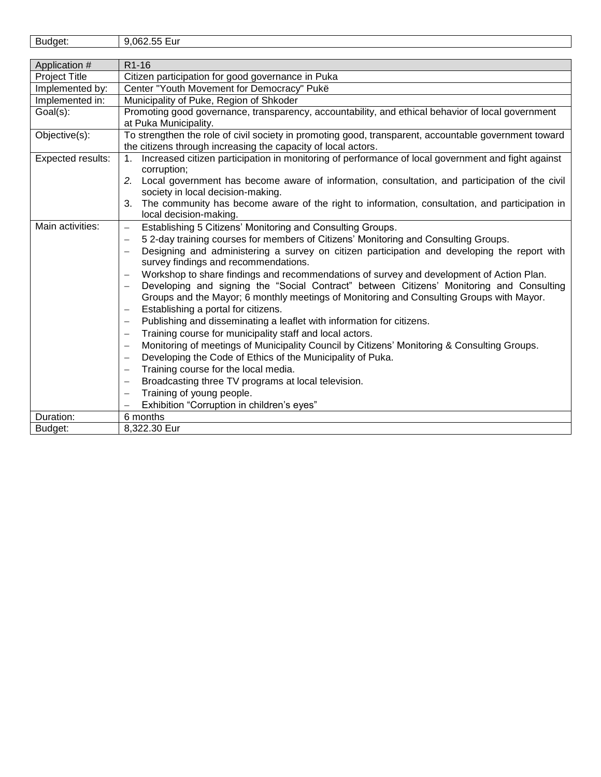| n.<br>062<br>.<br>Eur<br><b>BUOOPT</b><br><br>. .<br>uu<br>- |
|--------------------------------------------------------------|
|--------------------------------------------------------------|

| Application #        | R <sub>1</sub> -16                                                                                                                   |
|----------------------|--------------------------------------------------------------------------------------------------------------------------------------|
| <b>Project Title</b> | Citizen participation for good governance in Puka                                                                                    |
| Implemented by:      | Center "Youth Movement for Democracy" Pukë                                                                                           |
| Implemented in:      | Municipality of Puke, Region of Shkoder                                                                                              |
| Goal(s):             | Promoting good governance, transparency, accountability, and ethical behavior of local government                                    |
|                      | at Puka Municipality.                                                                                                                |
| Objective(s):        | To strengthen the role of civil society in promoting good, transparent, accountable government toward                                |
|                      | the citizens through increasing the capacity of local actors.                                                                        |
| Expected results:    | Increased citizen participation in monitoring of performance of local government and fight against<br>$1_{\cdot}$                    |
|                      | corruption;                                                                                                                          |
|                      | 2. Local government has become aware of information, consultation, and participation of the civil                                    |
|                      | society in local decision-making.                                                                                                    |
|                      | The community has become aware of the right to information, consultation, and participation in<br>3.                                 |
|                      | local decision-making.                                                                                                               |
| Main activities:     | Establishing 5 Citizens' Monitoring and Consulting Groups.<br>$\qquad \qquad -$                                                      |
|                      | 52-day training courses for members of Citizens' Monitoring and Consulting Groups.<br>$\qquad \qquad -$                              |
|                      | Designing and administering a survey on citizen participation and developing the report with<br>survey findings and recommendations. |
|                      | Workshop to share findings and recommendations of survey and development of Action Plan.                                             |
|                      | Developing and signing the "Social Contract" between Citizens' Monitoring and Consulting                                             |
|                      |                                                                                                                                      |
|                      | Groups and the Mayor; 6 monthly meetings of Monitoring and Consulting Groups with Mayor.<br>Establishing a portal for citizens.      |
|                      | $\overline{\phantom{0}}$                                                                                                             |
|                      | Publishing and disseminating a leaflet with information for citizens.<br>$\overline{\phantom{0}}$                                    |
|                      | Training course for municipality staff and local actors.                                                                             |
|                      | Monitoring of meetings of Municipality Council by Citizens' Monitoring & Consulting Groups.                                          |
|                      | Developing the Code of Ethics of the Municipality of Puka.                                                                           |
|                      | Training course for the local media.<br>$\overline{\phantom{0}}$                                                                     |
|                      | Broadcasting three TV programs at local television.                                                                                  |
|                      | Training of young people.                                                                                                            |
|                      | Exhibition "Corruption in children's eyes"                                                                                           |
| Duration:            | 6 months                                                                                                                             |
| Budget:              | 8,322.30 Eur                                                                                                                         |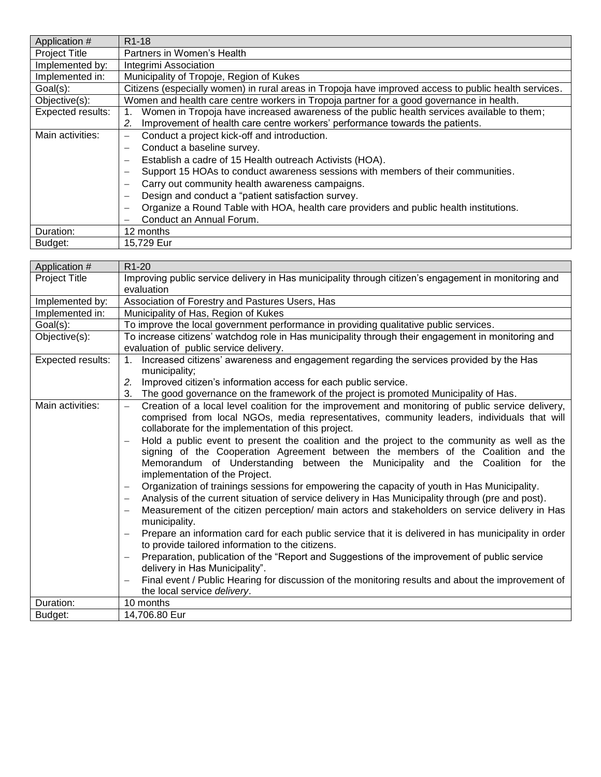| Application #        | R <sub>1</sub> -18                                                                                                 |
|----------------------|--------------------------------------------------------------------------------------------------------------------|
| <b>Project Title</b> | Partners in Women's Health                                                                                         |
| Implemented by:      | Integrimi Association                                                                                              |
| Implemented in:      | Municipality of Tropoje, Region of Kukes                                                                           |
| Goal(s):             | Citizens (especially women) in rural areas in Tropoja have improved access to public health services.              |
| Objective(s):        | Women and health care centre workers in Tropoja partner for a good governance in health.                           |
| Expected results:    | Women in Tropoja have increased awareness of the public health services available to them;                         |
|                      | Improvement of health care centre workers' performance towards the patients.<br>2.                                 |
| Main activities:     | Conduct a project kick-off and introduction.<br>$\overline{\phantom{0}}$                                           |
|                      | Conduct a baseline survey.<br>$\overline{\phantom{0}}$                                                             |
|                      | Establish a cadre of 15 Health outreach Activists (HOA).<br>$\overline{\phantom{m}}$                               |
|                      | Support 15 HOAs to conduct awareness sessions with members of their communities.<br>$\overline{\phantom{0}}$       |
|                      | Carry out community health awareness campaigns.                                                                    |
|                      | Design and conduct a "patient satisfaction survey.<br>$\overline{\phantom{a}}$                                     |
|                      | Organize a Round Table with HOA, health care providers and public health institutions.<br>$\overline{\phantom{0}}$ |
|                      | Conduct an Annual Forum.                                                                                           |
| Duration:            | 12 months                                                                                                          |
| Budget:              | 15,729 Eur                                                                                                         |

| Application #            | R <sub>1</sub> -20                                                                                                                                                                                                                                                                                                                                                                                                                                                                                                                                                                                                                                                                                                                                                                                                                                                                                                                                                                                                                                                                                                                                                                                                                                                                                                                                                                                        |
|--------------------------|-----------------------------------------------------------------------------------------------------------------------------------------------------------------------------------------------------------------------------------------------------------------------------------------------------------------------------------------------------------------------------------------------------------------------------------------------------------------------------------------------------------------------------------------------------------------------------------------------------------------------------------------------------------------------------------------------------------------------------------------------------------------------------------------------------------------------------------------------------------------------------------------------------------------------------------------------------------------------------------------------------------------------------------------------------------------------------------------------------------------------------------------------------------------------------------------------------------------------------------------------------------------------------------------------------------------------------------------------------------------------------------------------------------|
| <b>Project Title</b>     | Improving public service delivery in Has municipality through citizen's engagement in monitoring and<br>evaluation                                                                                                                                                                                                                                                                                                                                                                                                                                                                                                                                                                                                                                                                                                                                                                                                                                                                                                                                                                                                                                                                                                                                                                                                                                                                                        |
| Implemented by:          | Association of Forestry and Pastures Users, Has                                                                                                                                                                                                                                                                                                                                                                                                                                                                                                                                                                                                                                                                                                                                                                                                                                                                                                                                                                                                                                                                                                                                                                                                                                                                                                                                                           |
| Implemented in:          | Municipality of Has, Region of Kukes                                                                                                                                                                                                                                                                                                                                                                                                                                                                                                                                                                                                                                                                                                                                                                                                                                                                                                                                                                                                                                                                                                                                                                                                                                                                                                                                                                      |
| Goal(s):                 | To improve the local government performance in providing qualitative public services.                                                                                                                                                                                                                                                                                                                                                                                                                                                                                                                                                                                                                                                                                                                                                                                                                                                                                                                                                                                                                                                                                                                                                                                                                                                                                                                     |
| Objective(s):            | To increase citizens' watchdog role in Has municipality through their engagement in monitoring and<br>evaluation of public service delivery.                                                                                                                                                                                                                                                                                                                                                                                                                                                                                                                                                                                                                                                                                                                                                                                                                                                                                                                                                                                                                                                                                                                                                                                                                                                              |
| <b>Expected results:</b> | Increased citizens' awareness and engagement regarding the services provided by the Has<br>1.<br>municipality;<br>Improved citizen's information access for each public service.<br>2.<br>The good governance on the framework of the project is promoted Municipality of Has.<br>3.                                                                                                                                                                                                                                                                                                                                                                                                                                                                                                                                                                                                                                                                                                                                                                                                                                                                                                                                                                                                                                                                                                                      |
| Main activities:         | Creation of a local level coalition for the improvement and monitoring of public service delivery,<br>$\qquad \qquad -$<br>comprised from local NGOs, media representatives, community leaders, individuals that will<br>collaborate for the implementation of this project.<br>Hold a public event to present the coalition and the project to the community as well as the<br>$\overline{\phantom{0}}$<br>signing of the Cooperation Agreement between the members of the Coalition and the<br>Memorandum of Understanding between the Municipality and the Coalition for the<br>implementation of the Project.<br>Organization of trainings sessions for empowering the capacity of youth in Has Municipality.<br>$\overline{\phantom{0}}$<br>Analysis of the current situation of service delivery in Has Municipality through (pre and post).<br>Measurement of the citizen perception/ main actors and stakeholders on service delivery in Has<br>municipality.<br>Prepare an information card for each public service that it is delivered in has municipality in order<br>to provide tailored information to the citizens.<br>Preparation, publication of the "Report and Suggestions of the improvement of public service<br>delivery in Has Municipality".<br>Final event / Public Hearing for discussion of the monitoring results and about the improvement of<br>the local service delivery. |
| Duration:                | 10 months                                                                                                                                                                                                                                                                                                                                                                                                                                                                                                                                                                                                                                                                                                                                                                                                                                                                                                                                                                                                                                                                                                                                                                                                                                                                                                                                                                                                 |
| Budget:                  | 14,706.80 Eur                                                                                                                                                                                                                                                                                                                                                                                                                                                                                                                                                                                                                                                                                                                                                                                                                                                                                                                                                                                                                                                                                                                                                                                                                                                                                                                                                                                             |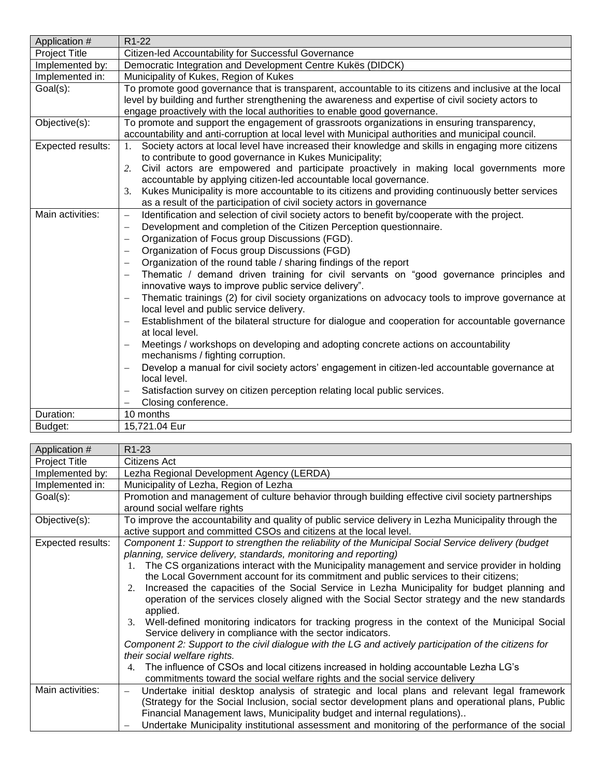| Application #        | R <sub>1</sub> -22                                                                                                                                                        |
|----------------------|---------------------------------------------------------------------------------------------------------------------------------------------------------------------------|
| <b>Project Title</b> | Citizen-led Accountability for Successful Governance                                                                                                                      |
| Implemented by:      | Democratic Integration and Development Centre Kukës (DIDCK)                                                                                                               |
| Implemented in:      | Municipality of Kukes, Region of Kukes                                                                                                                                    |
| Goal(s):             | To promote good governance that is transparent, accountable to its citizens and inclusive at the local                                                                    |
|                      | level by building and further strengthening the awareness and expertise of civil society actors to                                                                        |
|                      | engage proactively with the local authorities to enable good governance.                                                                                                  |
| Objective(s):        | To promote and support the engagement of grassroots organizations in ensuring transparency,                                                                               |
|                      | accountability and anti-corruption at local level with Municipal authorities and municipal council.                                                                       |
| Expected results:    | Society actors at local level have increased their knowledge and skills in engaging more citizens<br>1.                                                                   |
|                      | to contribute to good governance in Kukes Municipality;                                                                                                                   |
|                      | Civil actors are empowered and participate proactively in making local governments more<br>2.                                                                             |
|                      | accountable by applying citizen-led accountable local governance.                                                                                                         |
|                      | Kukes Municipality is more accountable to its citizens and providing continuously better services<br>3.                                                                   |
|                      | as a result of the participation of civil society actors in governance                                                                                                    |
| Main activities:     | Identification and selection of civil society actors to benefit by/cooperate with the project.<br>$\overline{\phantom{0}}$                                                |
|                      | Development and completion of the Citizen Perception questionnaire.<br>$\overline{\phantom{0}}$                                                                           |
|                      | Organization of Focus group Discussions (FGD).<br>$\overline{\phantom{m}}$                                                                                                |
|                      | Organization of Focus group Discussions (FGD)                                                                                                                             |
|                      | Organization of the round table / sharing findings of the report                                                                                                          |
|                      | Thematic / demand driven training for civil servants on "good governance principles and                                                                                   |
|                      | innovative ways to improve public service delivery".                                                                                                                      |
|                      | Thematic trainings (2) for civil society organizations on advocacy tools to improve governance at<br>$\overline{\phantom{0}}$<br>local level and public service delivery. |
|                      | Establishment of the bilateral structure for dialogue and cooperation for accountable governance<br>$\overline{\phantom{0}}$<br>at local level.                           |
|                      | Meetings / workshops on developing and adopting concrete actions on accountability                                                                                        |
|                      | mechanisms / fighting corruption.                                                                                                                                         |
|                      | Develop a manual for civil society actors' engagement in citizen-led accountable governance at<br>-                                                                       |
|                      | local level.                                                                                                                                                              |
|                      | Satisfaction survey on citizen perception relating local public services.<br>$\qquad \qquad -$                                                                            |
|                      | Closing conference.                                                                                                                                                       |
| Duration:            | 10 months                                                                                                                                                                 |
| Budget:              | 15,721.04 Eur                                                                                                                                                             |

| Application #     | R <sub>1</sub> -23                                                                                                                                                                                                                                                                                                                                                                                               |
|-------------------|------------------------------------------------------------------------------------------------------------------------------------------------------------------------------------------------------------------------------------------------------------------------------------------------------------------------------------------------------------------------------------------------------------------|
| Project Title     | Citizens Act                                                                                                                                                                                                                                                                                                                                                                                                     |
| Implemented by:   | Lezha Regional Development Agency (LERDA)                                                                                                                                                                                                                                                                                                                                                                        |
| Implemented in:   | Municipality of Lezha, Region of Lezha                                                                                                                                                                                                                                                                                                                                                                           |
| Goal(s):          | Promotion and management of culture behavior through building effective civil society partnerships<br>around social welfare rights                                                                                                                                                                                                                                                                               |
| Objective(s):     | To improve the accountability and quality of public service delivery in Lezha Municipality through the<br>active support and committed CSOs and citizens at the local level.                                                                                                                                                                                                                                     |
| Expected results: | Component 1: Support to strengthen the reliability of the Municipal Social Service delivery (budget<br>planning, service delivery, standards, monitoring and reporting)                                                                                                                                                                                                                                          |
|                   | 1. The CS organizations interact with the Municipality management and service provider in holding<br>the Local Government account for its commitment and public services to their citizens;<br>Increased the capacities of the Social Service in Lezha Municipality for budget planning and<br>2.<br>operation of the services closely aligned with the Social Sector strategy and the new standards<br>applied. |
|                   | Well-defined monitoring indicators for tracking progress in the context of the Municipal Social<br>3.<br>Service delivery in compliance with the sector indicators.<br>Component 2: Support to the civil dialogue with the LG and actively participation of the citizens for<br>their social welfare rights.                                                                                                     |
|                   | The influence of CSOs and local citizens increased in holding accountable Lezha LG's<br>4.<br>commitments toward the social welfare rights and the social service delivery                                                                                                                                                                                                                                       |
| Main activities:  | Undertake initial desktop analysis of strategic and local plans and relevant legal framework<br>(Strategy for the Social Inclusion, social sector development plans and operational plans, Public<br>Financial Management laws, Municipality budget and internal regulations)                                                                                                                                    |
|                   | Undertake Municipality institutional assessment and monitoring of the performance of the social                                                                                                                                                                                                                                                                                                                  |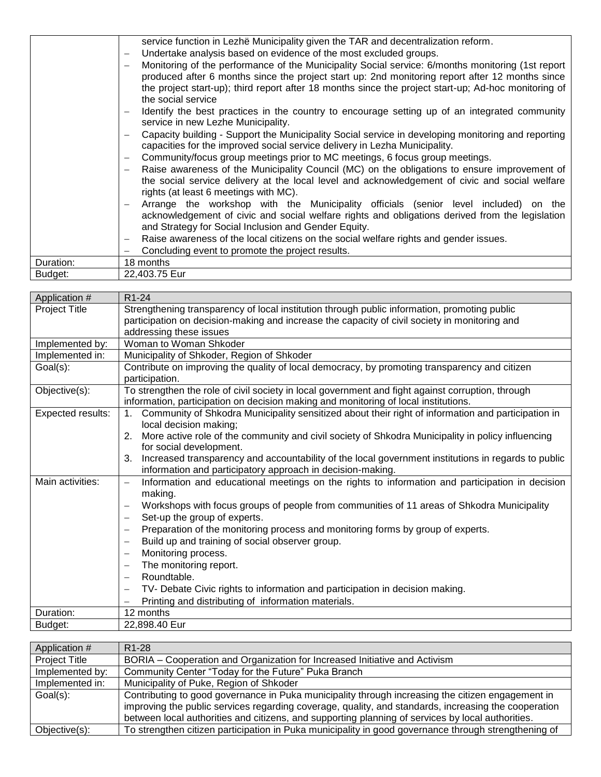|           | service function in Lezhë Municipality given the TAR and decentralization reform.                                             |
|-----------|-------------------------------------------------------------------------------------------------------------------------------|
|           | Undertake analysis based on evidence of the most excluded groups.<br>$\overline{\phantom{0}}$                                 |
|           | Monitoring of the performance of the Municipality Social service: 6/months monitoring (1st report<br>$\overline{\phantom{0}}$ |
|           | produced after 6 months since the project start up: 2nd monitoring report after 12 months since                               |
|           | the project start-up); third report after 18 months since the project start-up; Ad-hoc monitoring of                          |
|           | the social service                                                                                                            |
|           | Identify the best practices in the country to encourage setting up of an integrated community                                 |
|           | service in new Lezhe Municipality.                                                                                            |
|           | Capacity building - Support the Municipality Social service in developing monitoring and reporting<br>—                       |
|           | capacities for the improved social service delivery in Lezha Municipality.                                                    |
|           | Community/focus group meetings prior to MC meetings, 6 focus group meetings.<br>—                                             |
|           | Raise awareness of the Municipality Council (MC) on the obligations to ensure improvement of                                  |
|           | the social service delivery at the local level and acknowledgement of civic and social welfare                                |
|           | rights (at least 6 meetings with MC).                                                                                         |
|           | Arrange the workshop with the Municipality officials (senior level included) on the<br>$\overline{\phantom{0}}$               |
|           | acknowledgement of civic and social welfare rights and obligations derived from the legislation                               |
|           | and Strategy for Social Inclusion and Gender Equity.                                                                          |
|           | Raise awareness of the local citizens on the social welfare rights and gender issues.<br>—                                    |
|           | Concluding event to promote the project results.                                                                              |
| Duration: | 18 months                                                                                                                     |
| Budget:   | 22,403.75 Eur                                                                                                                 |

| Application #        | R <sub>1</sub> -24                                                                                                                                                                       |
|----------------------|------------------------------------------------------------------------------------------------------------------------------------------------------------------------------------------|
| <b>Project Title</b> | Strengthening transparency of local institution through public information, promoting public                                                                                             |
|                      | participation on decision-making and increase the capacity of civil society in monitoring and                                                                                            |
|                      | addressing these issues                                                                                                                                                                  |
| Implemented by:      | Woman to Woman Shkoder                                                                                                                                                                   |
| Implemented in:      | Municipality of Shkoder, Region of Shkoder                                                                                                                                               |
| Goal(s):             | Contribute on improving the quality of local democracy, by promoting transparency and citizen<br>participation.                                                                          |
| Objective(s):        | To strengthen the role of civil society in local government and fight against corruption, through<br>information, participation on decision making and monitoring of local institutions. |
| Expected results:    | Community of Shkodra Municipality sensitized about their right of information and participation in<br>1.<br>local decision making;                                                       |
|                      | More active role of the community and civil society of Shkodra Municipality in policy influencing<br>2.<br>for social development.                                                       |
|                      | Increased transparency and accountability of the local government institutions in regards to public<br>3.<br>information and participatory approach in decision-making.                  |
| Main activities:     | Information and educational meetings on the rights to information and participation in decision<br>$\overline{\phantom{0}}$<br>making.                                                   |
|                      | Workshops with focus groups of people from communities of 11 areas of Shkodra Municipality                                                                                               |
|                      | Set-up the group of experts.                                                                                                                                                             |
|                      | Preparation of the monitoring process and monitoring forms by group of experts.<br>$\overbrace{\phantom{123221111}}$                                                                     |
|                      | Build up and training of social observer group.                                                                                                                                          |
|                      | Monitoring process.                                                                                                                                                                      |
|                      | The monitoring report.                                                                                                                                                                   |
|                      | Roundtable.                                                                                                                                                                              |
|                      | TV- Debate Civic rights to information and participation in decision making.                                                                                                             |
|                      | Printing and distributing of information materials.                                                                                                                                      |
| Duration:            | 12 months                                                                                                                                                                                |
| Budget:              | 22,898.40 Eur                                                                                                                                                                            |

| Application #        | R <sub>1</sub> -28                                                                                   |
|----------------------|------------------------------------------------------------------------------------------------------|
| <b>Project Title</b> | BORIA – Cooperation and Organization for Increased Initiative and Activism                           |
| Implemented by:      | Community Center "Today for the Future" Puka Branch                                                  |
| Implemented in:      | Municipality of Puke, Region of Shkoder                                                              |
| Goal(s):             | Contributing to good governance in Puka municipality through increasing the citizen engagement in    |
|                      | improving the public services regarding coverage, quality, and standards, increasing the cooperation |
|                      | between local authorities and citizens, and supporting planning of services by local authorities.    |
| Objective(s):        | To strengthen citizen participation in Puka municipality in good governance through strengthening of |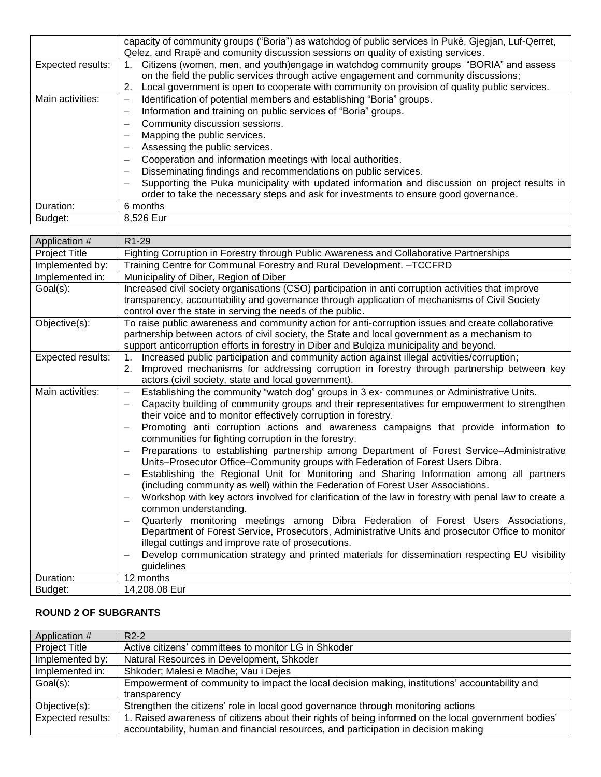|                   | capacity of community groups ("Boria") as watchdog of public services in Pukë, Gjegjan, Luf-Qerret, |
|-------------------|-----------------------------------------------------------------------------------------------------|
|                   | Qelez, and Rrapë and comunity discussion sessions on quality of existing services.                  |
| Expected results: | Citizens (women, men, and youth)engage in watchdog community groups "BORIA" and assess              |
|                   | on the field the public services through active engagement and community discussions;               |
|                   | Local government is open to cooperate with community on provision of quality public services.<br>2. |
| Main activities:  | Identification of potential members and establishing "Boria" groups.                                |
|                   | Information and training on public services of "Boria" groups.                                      |
|                   | Community discussion sessions.<br>-                                                                 |
|                   | Mapping the public services.                                                                        |
|                   | Assessing the public services.                                                                      |
|                   | Cooperation and information meetings with local authorities.                                        |
|                   | Disseminating findings and recommendations on public services.<br>$\overline{\phantom{0}}$          |
|                   | Supporting the Puka municipality with updated information and discussion on project results in      |
|                   | order to take the necessary steps and ask for investments to ensure good governance.                |
| Duration:         | 6 months                                                                                            |
| Budget:           | 8,526 Eur                                                                                           |

| Application #        | R1-29                                                                                                                                                                         |
|----------------------|-------------------------------------------------------------------------------------------------------------------------------------------------------------------------------|
| <b>Project Title</b> | Fighting Corruption in Forestry through Public Awareness and Collaborative Partnerships                                                                                       |
| Implemented by:      | Training Centre for Communal Forestry and Rural Development. - TCCFRD                                                                                                         |
| Implemented in:      | Municipality of Diber, Region of Diber                                                                                                                                        |
| Goal(s):             | Increased civil society organisations (CSO) participation in anti corruption activities that improve                                                                          |
|                      | transparency, accountability and governance through application of mechanisms of Civil Society                                                                                |
|                      | control over the state in serving the needs of the public.                                                                                                                    |
| Objective(s):        | To raise public awareness and community action for anti-corruption issues and create collaborative                                                                            |
|                      | partnership between actors of civil society, the State and local government as a mechanism to                                                                                 |
|                      | support anticorruption efforts in forestry in Diber and Bulqiza municipality and beyond.                                                                                      |
| Expected results:    | Increased public participation and community action against illegal activities/corruption;<br>1 <sub>1</sub>                                                                  |
|                      | Improved mechanisms for addressing corruption in forestry through partnership between key<br>2.                                                                               |
|                      | actors (civil society, state and local government).                                                                                                                           |
| Main activities:     | Establishing the community "watch dog" groups in 3 ex- communes or Administrative Units.<br>$\qquad \qquad -$                                                                 |
|                      | Capacity building of community groups and their representatives for empowerment to strengthen                                                                                 |
|                      | their voice and to monitor effectively corruption in forestry.                                                                                                                |
|                      | Promoting anti corruption actions and awareness campaigns that provide information to                                                                                         |
|                      | communities for fighting corruption in the forestry.                                                                                                                          |
|                      | Preparations to establishing partnership among Department of Forest Service-Administrative<br>Units-Prosecutor Office-Community groups with Federation of Forest Users Dibra. |
|                      | Establishing the Regional Unit for Monitoring and Sharing Information among all partners                                                                                      |
|                      | (including community as well) within the Federation of Forest User Associations.                                                                                              |
|                      | Workshop with key actors involved for clarification of the law in forestry with penal law to create a                                                                         |
|                      | common understanding.                                                                                                                                                         |
|                      | Quarterly monitoring meetings among Dibra Federation of Forest Users Associations,<br>-                                                                                       |
|                      | Department of Forest Service, Prosecutors, Administrative Units and prosecutor Office to monitor                                                                              |
|                      | illegal cuttings and improve rate of prosecutions.                                                                                                                            |
|                      | Develop communication strategy and printed materials for dissemination respecting EU visibility                                                                               |
|                      | guidelines                                                                                                                                                                    |
| Duration:            | 12 months                                                                                                                                                                     |
| Budget:              | 14,208.08 Eur                                                                                                                                                                 |

## **ROUND 2 OF SUBGRANTS**

| Application #        | $R2-2$                                                                                               |
|----------------------|------------------------------------------------------------------------------------------------------|
| <b>Project Title</b> | Active citizens' committees to monitor LG in Shkoder                                                 |
| Implemented by:      | Natural Resources in Development, Shkoder                                                            |
| Implemented in:      | Shkoder; Malesi e Madhe; Vau i Dejes                                                                 |
| Goal(s):             | Empowerment of community to impact the local decision making, institutions' accountability and       |
|                      | transparency                                                                                         |
| Objective(s):        | Strengthen the citizens' role in local good governance through monitoring actions                    |
| Expected results:    | 1. Raised awareness of citizens about their rights of being informed on the local government bodies' |
|                      | accountability, human and financial resources, and participation in decision making                  |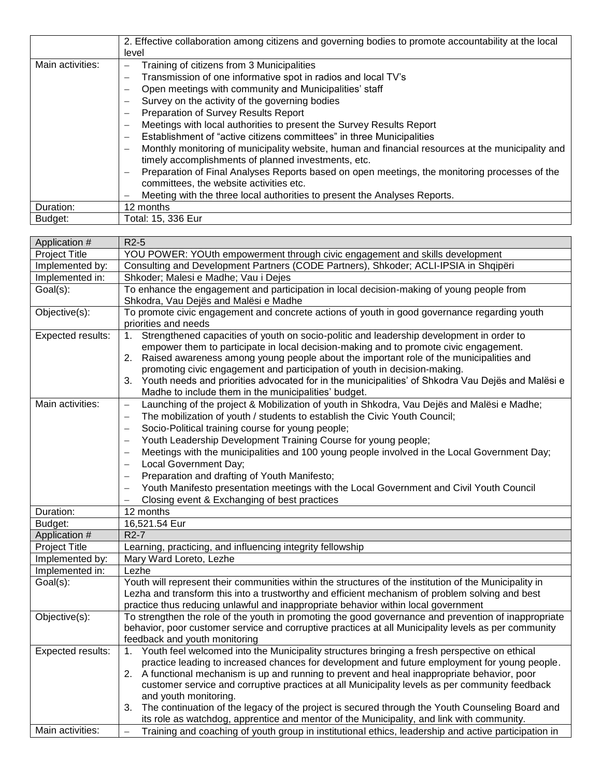|                  | 2. Effective collaboration among citizens and governing bodies to promote accountability at the local                                                    |
|------------------|----------------------------------------------------------------------------------------------------------------------------------------------------------|
|                  | level                                                                                                                                                    |
| Main activities: | Training of citizens from 3 Municipalities<br>-                                                                                                          |
|                  | Transmission of one informative spot in radios and local TV's<br>-                                                                                       |
|                  | Open meetings with community and Municipalities' staff<br>-                                                                                              |
|                  | Survey on the activity of the governing bodies<br>$\overline{\phantom{0}}$                                                                               |
|                  | Preparation of Survey Results Report<br>$\overline{\phantom{0}}$                                                                                         |
|                  | Meetings with local authorities to present the Survey Results Report<br>-                                                                                |
|                  | Establishment of "active citizens committees" in three Municipalities<br>$\overline{\phantom{m}}$                                                        |
|                  | Monthly monitoring of municipality website, human and financial resources at the municipality and<br>timely accomplishments of planned investments, etc. |
|                  | Preparation of Final Analyses Reports based on open meetings, the monitoring processes of the<br>$\overline{\phantom{0}}$                                |
|                  | committees, the website activities etc.                                                                                                                  |
|                  | Meeting with the three local authorities to present the Analyses Reports.                                                                                |
| Duration:        | 12 months                                                                                                                                                |
| Budget:          | Total: 15, 336 Eur                                                                                                                                       |

| Application #        | $R2-5$                                                                                                                                                                                             |
|----------------------|----------------------------------------------------------------------------------------------------------------------------------------------------------------------------------------------------|
| <b>Project Title</b> | YOU POWER: YOUth empowerment through civic engagement and skills development                                                                                                                       |
| Implemented by:      | Consulting and Development Partners (CODE Partners), Shkoder; ACLI-IPSIA in Shqipëri                                                                                                               |
| Implemented in:      | Shkoder; Malesi e Madhe; Vau i Dejes                                                                                                                                                               |
| Goal(s):             | To enhance the engagement and participation in local decision-making of young people from                                                                                                          |
|                      | Shkodra, Vau Dejës and Malësi e Madhe                                                                                                                                                              |
| Objective(s):        | To promote civic engagement and concrete actions of youth in good governance regarding youth                                                                                                       |
|                      | priorities and needs                                                                                                                                                                               |
| Expected results:    | Strengthened capacities of youth on socio-politic and leadership development in order to<br>1.                                                                                                     |
|                      | empower them to participate in local decision-making and to promote civic engagement.                                                                                                              |
|                      | 2. Raised awareness among young people about the important role of the municipalities and                                                                                                          |
|                      | promoting civic engagement and participation of youth in decision-making.                                                                                                                          |
|                      | Youth needs and priorities advocated for in the municipalities' of Shkodra Vau Dejës and Malësi e<br>3.                                                                                            |
| Main activities:     | Madhe to include them in the municipalities' budget.                                                                                                                                               |
|                      | Launching of the project & Mobilization of youth in Shkodra, Vau Dejës and Malësi e Madhe;<br>$\overline{\phantom{0}}$<br>$\overline{\phantom{0}}$                                                 |
|                      | The mobilization of youth / students to establish the Civic Youth Council;                                                                                                                         |
|                      | Socio-Political training course for young people;<br>$\overline{\phantom{0}}$<br>Youth Leadership Development Training Course for young people;<br>$\overline{\phantom{0}}$                        |
|                      | Meetings with the municipalities and 100 young people involved in the Local Government Day;                                                                                                        |
|                      | $\qquad \qquad -$<br>Local Government Day;                                                                                                                                                         |
|                      | Preparation and drafting of Youth Manifesto;<br>$\overline{\phantom{0}}$                                                                                                                           |
|                      | Youth Manifesto presentation meetings with the Local Government and Civil Youth Council<br>$\qquad \qquad -$                                                                                       |
|                      | Closing event & Exchanging of best practices                                                                                                                                                       |
| Duration:            | 12 months                                                                                                                                                                                          |
| Budget:              | 16,521.54 Eur                                                                                                                                                                                      |
| Application #        | $R2-7$                                                                                                                                                                                             |
| <b>Project Title</b> | Learning, practicing, and influencing integrity fellowship                                                                                                                                         |
| Implemented by:      | Mary Ward Loreto, Lezhe                                                                                                                                                                            |
| Implemented in:      | Lezhe                                                                                                                                                                                              |
| Goal(s):             | Youth will represent their communities within the structures of the institution of the Municipality in                                                                                             |
|                      | Lezha and transform this into a trustworthy and efficient mechanism of problem solving and best                                                                                                    |
|                      | practice thus reducing unlawful and inappropriate behavior within local government                                                                                                                 |
| Objective(s):        | To strengthen the role of the youth in promoting the good governance and prevention of inappropriate                                                                                               |
|                      | behavior, poor customer service and corruptive practices at all Municipality levels as per community                                                                                               |
|                      | feedback and youth monitoring                                                                                                                                                                      |
| Expected results:    | Youth feel welcomed into the Municipality structures bringing a fresh perspective on ethical<br>1.                                                                                                 |
|                      | practice leading to increased chances for development and future employment for young people.                                                                                                      |
|                      | 2. A functional mechanism is up and running to prevent and heal inappropriate behavior, poor                                                                                                       |
|                      | customer service and corruptive practices at all Municipality levels as per community feedback                                                                                                     |
|                      | and youth monitoring.                                                                                                                                                                              |
|                      | The continuation of the legacy of the project is secured through the Youth Counseling Board and<br>3.<br>its role as watchdog, apprentice and mentor of the Municipality, and link with community. |
| Main activities:     | $\overline{\phantom{0}}$                                                                                                                                                                           |
|                      | Training and coaching of youth group in institutional ethics, leadership and active participation in                                                                                               |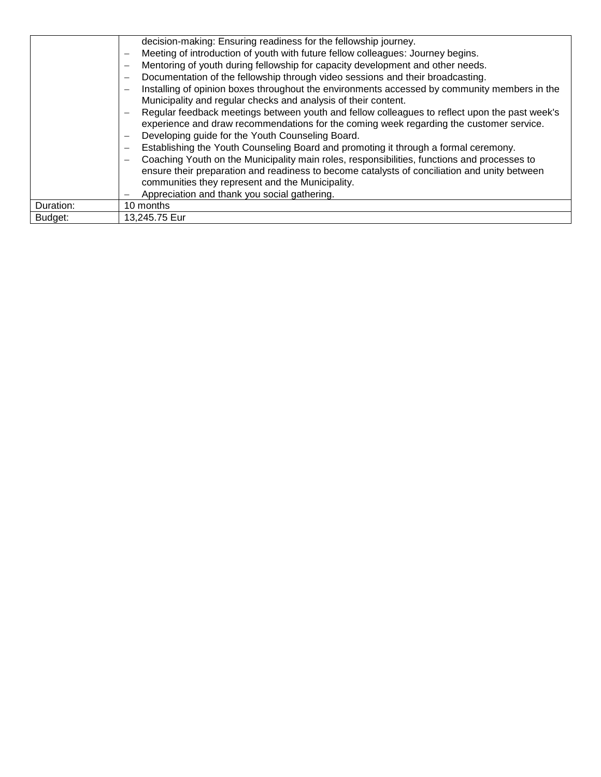|           | decision-making: Ensuring readiness for the fellowship journey.                                                          |
|-----------|--------------------------------------------------------------------------------------------------------------------------|
|           | Meeting of introduction of youth with future fellow colleagues: Journey begins.                                          |
|           | Mentoring of youth during fellowship for capacity development and other needs.<br>$\overline{\phantom{0}}$               |
|           | Documentation of the fellowship through video sessions and their broadcasting.<br>-                                      |
|           | Installing of opinion boxes throughout the environments accessed by community members in the<br>$\overline{\phantom{0}}$ |
|           | Municipality and regular checks and analysis of their content.                                                           |
|           | Regular feedback meetings between youth and fellow colleagues to reflect upon the past week's                            |
|           | experience and draw recommendations for the coming week regarding the customer service.                                  |
|           | Developing guide for the Youth Counseling Board.<br>$\overline{\phantom{0}}$                                             |
|           | Establishing the Youth Counseling Board and promoting it through a formal ceremony.                                      |
|           | Coaching Youth on the Municipality main roles, responsibilities, functions and processes to<br>$\overline{\phantom{0}}$  |
|           | ensure their preparation and readiness to become catalysts of conciliation and unity between                             |
|           | communities they represent and the Municipality.                                                                         |
|           | Appreciation and thank you social gathering.                                                                             |
| Duration: | 10 months                                                                                                                |
| Budget:   | 13,245.75 Eur                                                                                                            |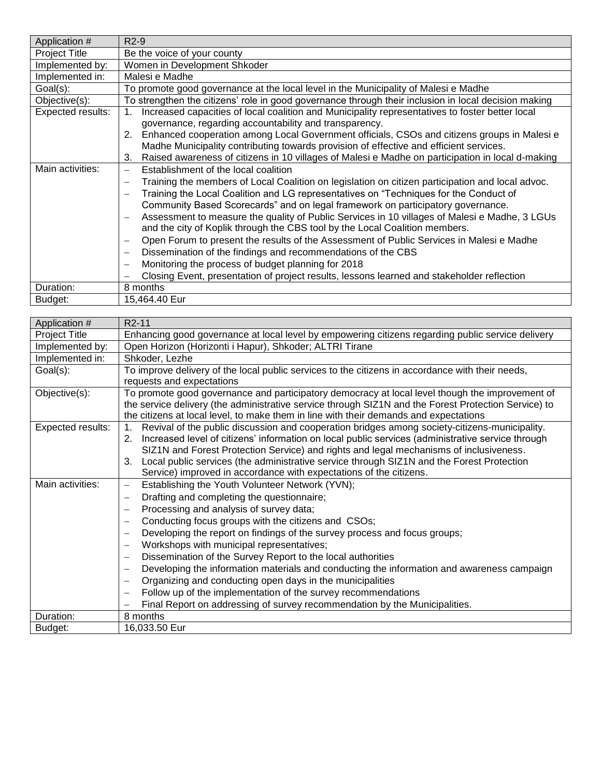| Application #        | $R2-9$                                                                                                            |
|----------------------|-------------------------------------------------------------------------------------------------------------------|
| <b>Project Title</b> | Be the voice of your county                                                                                       |
| Implemented by:      | Women in Development Shkoder                                                                                      |
| Implemented in:      | Malesi e Madhe                                                                                                    |
| Goal(s):             | To promote good governance at the local level in the Municipality of Malesi e Madhe                               |
| Objective(s):        | To strengthen the citizens' role in good governance through their inclusion in local decision making              |
| Expected results:    | Increased capacities of local coalition and Municipality representatives to foster better local                   |
|                      | governance, regarding accountability and transparency.                                                            |
|                      | Enhanced cooperation among Local Government officials, CSOs and citizens groups in Malesi e<br>2.                 |
|                      | Madhe Municipality contributing towards provision of effective and efficient services.                            |
|                      | Raised awareness of citizens in 10 villages of Malesi e Madhe on participation in local d-making<br>3.            |
| Main activities:     | Establishment of the local coalition                                                                              |
|                      | Training the members of Local Coalition on legislation on citizen participation and local advoc.                  |
|                      | Training the Local Coalition and LG representatives on "Techniques for the Conduct of<br>$\overline{\phantom{0}}$ |
|                      | Community Based Scorecards" and on legal framework on participatory governance.                                   |
|                      | Assessment to measure the quality of Public Services in 10 villages of Malesi e Madhe, 3 LGUs                     |
|                      | and the city of Koplik through the CBS tool by the Local Coalition members.                                       |
|                      | Open Forum to present the results of the Assessment of Public Services in Malesi e Madhe                          |
|                      | Dissemination of the findings and recommendations of the CBS                                                      |
|                      | Monitoring the process of budget planning for 2018                                                                |
|                      | Closing Event, presentation of project results, lessons learned and stakeholder reflection                        |
| Duration:            | 8 months                                                                                                          |
| Budget:              | 15,464.40 Eur                                                                                                     |

| Application #        | R <sub>2</sub> -11                                                                                           |
|----------------------|--------------------------------------------------------------------------------------------------------------|
| <b>Project Title</b> | Enhancing good governance at local level by empowering citizens regarding public service delivery            |
| Implemented by:      | Open Horizon (Horizonti i Hapur), Shkoder; ALTRI Tirane                                                      |
| Implemented in:      | Shkoder, Lezhe                                                                                               |
| Goal(s):             | To improve delivery of the local public services to the citizens in accordance with their needs,             |
|                      | requests and expectations                                                                                    |
| Objective(s):        | To promote good governance and participatory democracy at local level though the improvement of              |
|                      | the service delivery (the administrative service through SIZ1N and the Forest Protection Service) to         |
|                      | the citizens at local level, to make them in line with their demands and expectations                        |
| Expected results:    | Revival of the public discussion and cooperation bridges among society-citizens-municipality.<br>$1_{\cdot}$ |
|                      | Increased level of citizens' information on local public services (administrative service through<br>2.      |
|                      | SIZ1N and Forest Protection Service) and rights and legal mechanisms of inclusiveness.                       |
|                      | Local public services (the administrative service through SIZ1N and the Forest Protection<br>3.              |
|                      | Service) improved in accordance with expectations of the citizens.                                           |
| Main activities:     | Establishing the Youth Volunteer Network (YVN);<br>$\overline{\phantom{m}}$                                  |
|                      | Drafting and completing the questionnaire;<br>$\overbrace{\phantom{123221111}}$                              |
|                      | Processing and analysis of survey data;<br>$\overline{\phantom{m}}$                                          |
|                      | Conducting focus groups with the citizens and CSOs;<br>$\overline{\phantom{0}}$                              |
|                      | Developing the report on findings of the survey process and focus groups;                                    |
|                      | Workshops with municipal representatives;                                                                    |
|                      | Dissemination of the Survey Report to the local authorities<br>$\overline{\phantom{0}}$                      |
|                      | Developing the information materials and conducting the information and awareness campaign                   |
|                      | Organizing and conducting open days in the municipalities<br>$\overline{\phantom{m}}$                        |
|                      | Follow up of the implementation of the survey recommendations                                                |
|                      | Final Report on addressing of survey recommendation by the Municipalities.                                   |
| Duration:            | 8 months                                                                                                     |
| Budget:              | 16.033.50 Eur                                                                                                |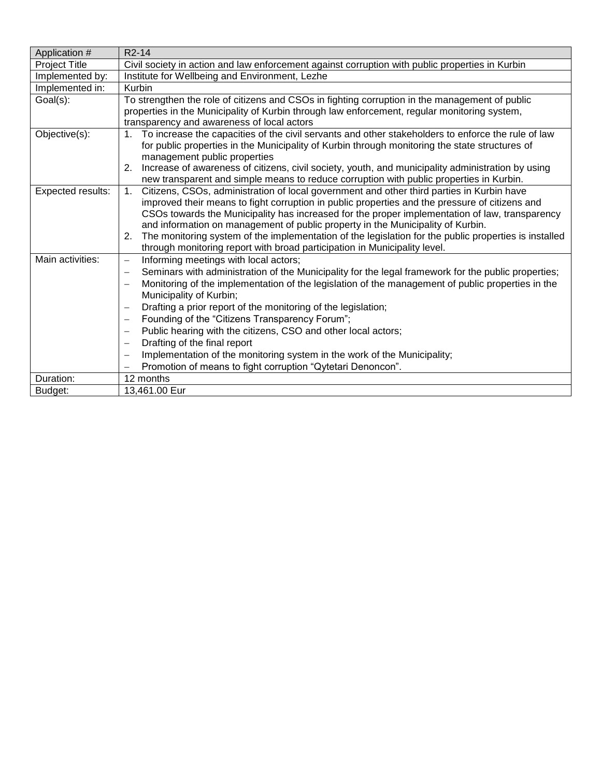| Application #        | R <sub>2</sub> -14                                                                                                                                                                                 |
|----------------------|----------------------------------------------------------------------------------------------------------------------------------------------------------------------------------------------------|
| <b>Project Title</b> | Civil society in action and law enforcement against corruption with public properties in Kurbin                                                                                                    |
| Implemented by:      | Institute for Wellbeing and Environment, Lezhe                                                                                                                                                     |
| Implemented in:      | Kurbin                                                                                                                                                                                             |
| Goal(s):             | To strengthen the role of citizens and CSOs in fighting corruption in the management of public                                                                                                     |
|                      | properties in the Municipality of Kurbin through law enforcement, regular monitoring system,                                                                                                       |
|                      | transparency and awareness of local actors                                                                                                                                                         |
| Objective(s):        | 1. To increase the capacities of the civil servants and other stakeholders to enforce the rule of law                                                                                              |
|                      | for public properties in the Municipality of Kurbin through monitoring the state structures of                                                                                                     |
|                      | management public properties                                                                                                                                                                       |
|                      | Increase of awareness of citizens, civil society, youth, and municipality administration by using<br>2.<br>new transparent and simple means to reduce corruption with public properties in Kurbin. |
| Expected results:    | Citizens, CSOs, administration of local government and other third parties in Kurbin have<br>1.                                                                                                    |
|                      | improved their means to fight corruption in public properties and the pressure of citizens and                                                                                                     |
|                      | CSOs towards the Municipality has increased for the proper implementation of law, transparency                                                                                                     |
|                      | and information on management of public property in the Municipality of Kurbin.                                                                                                                    |
|                      | The monitoring system of the implementation of the legislation for the public properties is installed<br>2.                                                                                        |
|                      | through monitoring report with broad participation in Municipality level.                                                                                                                          |
| Main activities:     | Informing meetings with local actors;<br>-                                                                                                                                                         |
|                      | Seminars with administration of the Municipality for the legal framework for the public properties;<br>-                                                                                           |
|                      | Monitoring of the implementation of the legislation of the management of public properties in the<br>$\overline{\phantom{0}}$                                                                      |
|                      | Municipality of Kurbin;                                                                                                                                                                            |
|                      | Drafting a prior report of the monitoring of the legislation;<br>—                                                                                                                                 |
|                      | Founding of the "Citizens Transparency Forum";<br>$\overline{\phantom{0}}$                                                                                                                         |
|                      | Public hearing with the citizens, CSO and other local actors;<br>—                                                                                                                                 |
|                      | Drafting of the final report<br>—                                                                                                                                                                  |
|                      | Implementation of the monitoring system in the work of the Municipality;<br>—                                                                                                                      |
|                      | Promotion of means to fight corruption "Qytetari Denoncon".                                                                                                                                        |
| Duration:            | 12 months                                                                                                                                                                                          |
| Budget:              | 13,461.00 Eur                                                                                                                                                                                      |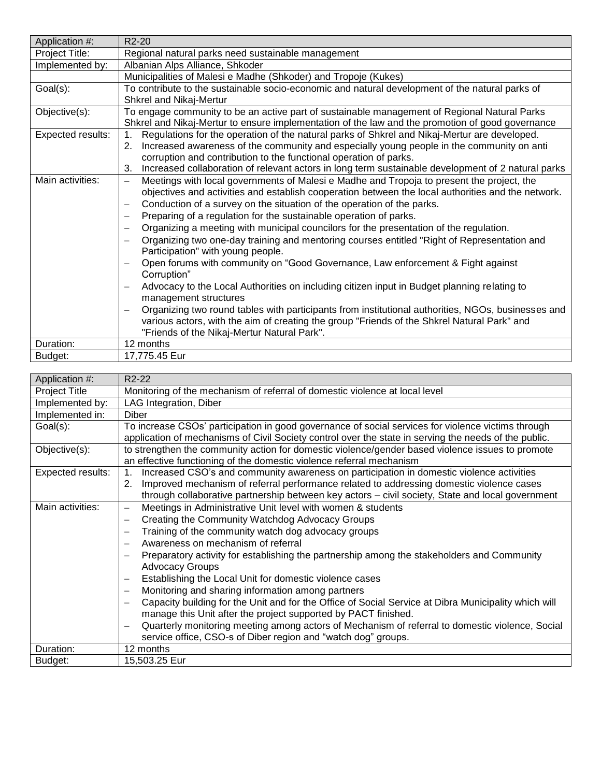| Application #:    | R <sub>2</sub> -20                                                                                                                                                                                                                                                                                                                                                                                                                                                                                                                                                                                                                                                                                                                                                                                                                                                                                                                                                                                                                                                                                                                                                                   |
|-------------------|--------------------------------------------------------------------------------------------------------------------------------------------------------------------------------------------------------------------------------------------------------------------------------------------------------------------------------------------------------------------------------------------------------------------------------------------------------------------------------------------------------------------------------------------------------------------------------------------------------------------------------------------------------------------------------------------------------------------------------------------------------------------------------------------------------------------------------------------------------------------------------------------------------------------------------------------------------------------------------------------------------------------------------------------------------------------------------------------------------------------------------------------------------------------------------------|
| Project Title:    | Regional natural parks need sustainable management                                                                                                                                                                                                                                                                                                                                                                                                                                                                                                                                                                                                                                                                                                                                                                                                                                                                                                                                                                                                                                                                                                                                   |
| Implemented by:   | Albanian Alps Alliance, Shkoder                                                                                                                                                                                                                                                                                                                                                                                                                                                                                                                                                                                                                                                                                                                                                                                                                                                                                                                                                                                                                                                                                                                                                      |
|                   | Municipalities of Malesi e Madhe (Shkoder) and Tropoje (Kukes)                                                                                                                                                                                                                                                                                                                                                                                                                                                                                                                                                                                                                                                                                                                                                                                                                                                                                                                                                                                                                                                                                                                       |
| Goal(s):          | To contribute to the sustainable socio-economic and natural development of the natural parks of<br>Shkrel and Nikaj-Mertur                                                                                                                                                                                                                                                                                                                                                                                                                                                                                                                                                                                                                                                                                                                                                                                                                                                                                                                                                                                                                                                           |
| Objective(s):     | To engage community to be an active part of sustainable management of Regional Natural Parks<br>Shkrel and Nikaj-Mertur to ensure implementation of the law and the promotion of good governance                                                                                                                                                                                                                                                                                                                                                                                                                                                                                                                                                                                                                                                                                                                                                                                                                                                                                                                                                                                     |
| Expected results: | Regulations for the operation of the natural parks of Shkrel and Nikaj-Mertur are developed.<br>1.<br>Increased awareness of the community and especially young people in the community on anti<br>2.<br>corruption and contribution to the functional operation of parks.<br>Increased collaboration of relevant actors in long term sustainable development of 2 natural parks<br>3.                                                                                                                                                                                                                                                                                                                                                                                                                                                                                                                                                                                                                                                                                                                                                                                               |
| Main activities:  | Meetings with local governments of Malesi e Madhe and Tropoja to present the project, the<br>$\qquad \qquad -$<br>objectives and activities and establish cooperation between the local authorities and the network.<br>Conduction of a survey on the situation of the operation of the parks.<br>Preparing of a regulation for the sustainable operation of parks.<br>Organizing a meeting with municipal councilors for the presentation of the regulation.<br>$\overline{\phantom{m}}$<br>Organizing two one-day training and mentoring courses entitled "Right of Representation and<br>Participation" with young people.<br>Open forums with community on "Good Governance, Law enforcement & Fight against<br>$\overbrace{\phantom{12322111}}$<br>Corruption"<br>Advocacy to the Local Authorities on including citizen input in Budget planning relating to<br>management structures<br>Organizing two round tables with participants from institutional authorities, NGOs, businesses and<br>$\overbrace{\phantom{123221111}}$<br>various actors, with the aim of creating the group "Friends of the Shkrel Natural Park" and<br>"Friends of the Nikaj-Mertur Natural Park". |
| Duration:         | 12 months                                                                                                                                                                                                                                                                                                                                                                                                                                                                                                                                                                                                                                                                                                                                                                                                                                                                                                                                                                                                                                                                                                                                                                            |
| Budget:           | 17,775.45 Eur                                                                                                                                                                                                                                                                                                                                                                                                                                                                                                                                                                                                                                                                                                                                                                                                                                                                                                                                                                                                                                                                                                                                                                        |

| Application #:       | R <sub>2</sub> -22                                                                                                                                                                                                                                                                                                                                                                                                                                                                                                                                                                                                                                                                                                                                                                                                                                                                                                                                                 |
|----------------------|--------------------------------------------------------------------------------------------------------------------------------------------------------------------------------------------------------------------------------------------------------------------------------------------------------------------------------------------------------------------------------------------------------------------------------------------------------------------------------------------------------------------------------------------------------------------------------------------------------------------------------------------------------------------------------------------------------------------------------------------------------------------------------------------------------------------------------------------------------------------------------------------------------------------------------------------------------------------|
| <b>Project Title</b> | Monitoring of the mechanism of referral of domestic violence at local level                                                                                                                                                                                                                                                                                                                                                                                                                                                                                                                                                                                                                                                                                                                                                                                                                                                                                        |
| Implemented by:      | LAG Integration, Diber                                                                                                                                                                                                                                                                                                                                                                                                                                                                                                                                                                                                                                                                                                                                                                                                                                                                                                                                             |
| Implemented in:      | Diber                                                                                                                                                                                                                                                                                                                                                                                                                                                                                                                                                                                                                                                                                                                                                                                                                                                                                                                                                              |
| Goal(s):             | To increase CSOs' participation in good governance of social services for violence victims through<br>application of mechanisms of Civil Society control over the state in serving the needs of the public.                                                                                                                                                                                                                                                                                                                                                                                                                                                                                                                                                                                                                                                                                                                                                        |
| Objective(s):        | to strengthen the community action for domestic violence/gender based violence issues to promote<br>an effective functioning of the domestic violence referral mechanism                                                                                                                                                                                                                                                                                                                                                                                                                                                                                                                                                                                                                                                                                                                                                                                           |
| Expected results:    | Increased CSO's and community awareness on participation in domestic violence activities<br>$\mathbf 1$ .<br>Improved mechanism of referral performance related to addressing domestic violence cases<br>2.<br>through collaborative partnership between key actors - civil society, State and local government                                                                                                                                                                                                                                                                                                                                                                                                                                                                                                                                                                                                                                                    |
| Main activities:     | Meetings in Administrative Unit level with women & students<br>$\overline{\phantom{0}}$<br>Creating the Community Watchdog Advocacy Groups<br>Training of the community watch dog advocacy groups<br>$\overline{\phantom{0}}$<br>Awareness on mechanism of referral<br>$\overline{\phantom{0}}$<br>Preparatory activity for establishing the partnership among the stakeholders and Community<br>$\overline{\phantom{0}}$<br><b>Advocacy Groups</b><br>Establishing the Local Unit for domestic violence cases<br>$\qquad \qquad -$<br>Monitoring and sharing information among partners<br>Capacity building for the Unit and for the Office of Social Service at Dibra Municipality which will<br>manage this Unit after the project supported by PACT finished.<br>Quarterly monitoring meeting among actors of Mechanism of referral to domestic violence, Social<br>$\overline{\phantom{0}}$<br>service office, CSO-s of Diber region and "watch dog" groups. |
| Duration:            | 12 months                                                                                                                                                                                                                                                                                                                                                                                                                                                                                                                                                                                                                                                                                                                                                                                                                                                                                                                                                          |
| Budget:              | 15,503.25 Eur                                                                                                                                                                                                                                                                                                                                                                                                                                                                                                                                                                                                                                                                                                                                                                                                                                                                                                                                                      |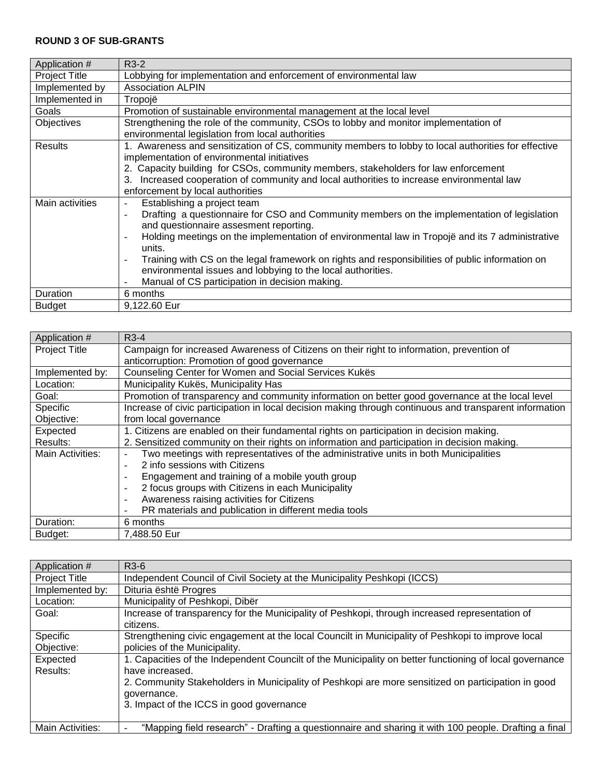## **ROUND 3 OF SUB-GRANTS**

| Application #        | $R3-2$                                                                                                                      |
|----------------------|-----------------------------------------------------------------------------------------------------------------------------|
| <b>Project Title</b> | Lobbying for implementation and enforcement of environmental law                                                            |
| Implemented by       | <b>Association ALPIN</b>                                                                                                    |
| Implemented in       | Tropojë                                                                                                                     |
| Goals                | Promotion of sustainable environmental management at the local level                                                        |
| Objectives           | Strengthening the role of the community, CSOs to lobby and monitor implementation of                                        |
|                      | environmental legislation from local authorities                                                                            |
| Results              | 1. Awareness and sensitization of CS, community members to lobby to local authorities for effective                         |
|                      | implementation of environmental initiatives                                                                                 |
|                      | 2. Capacity building for CSOs, community members, stakeholders for law enforcement                                          |
|                      | Increased cooperation of community and local authorities to increase environmental law<br>3.                                |
|                      | enforcement by local authorities                                                                                            |
| Main activities      | Establishing a project team<br>$\overline{\phantom{a}}$                                                                     |
|                      | Drafting a questionnaire for CSO and Community members on the implementation of legislation                                 |
|                      | and questionnaire assesment reporting.                                                                                      |
|                      | Holding meetings on the implementation of environmental law in Tropojë and its 7 administrative<br>$\blacksquare$           |
|                      | units.                                                                                                                      |
|                      | Training with CS on the legal framework on rights and responsibilities of public information on<br>$\overline{\phantom{a}}$ |
|                      | environmental issues and lobbying to the local authorities.                                                                 |
|                      | Manual of CS participation in decision making.                                                                              |
| Duration             | 6 months                                                                                                                    |
| <b>Budget</b>        | 9,122.60 Eur                                                                                                                |

| Application #        | R <sub>3</sub> -4                                                                                       |
|----------------------|---------------------------------------------------------------------------------------------------------|
| <b>Project Title</b> | Campaign for increased Awareness of Citizens on their right to information, prevention of               |
|                      | anticorruption: Promotion of good governance                                                            |
| Implemented by:      | Counseling Center for Women and Social Services Kukës                                                   |
| Location:            | Municipality Kukës, Municipality Has                                                                    |
| Goal:                | Promotion of transparency and community information on better good governance at the local level        |
| Specific             | Increase of civic participation in local decision making through continuous and transparent information |
| Objective:           | from local governance                                                                                   |
| Expected             | 1. Citizens are enabled on their fundamental rights on participation in decision making.                |
| Results:             | 2. Sensitized community on their rights on information and participation in decision making.            |
| Main Activities:     | Two meetings with representatives of the administrative units in both Municipalities                    |
|                      | 2 info sessions with Citizens                                                                           |
|                      | Engagement and training of a mobile youth group<br>$\overline{\phantom{a}}$                             |
|                      | 2 focus groups with Citizens in each Municipality<br>$\overline{\phantom{a}}$                           |
|                      | Awareness raising activities for Citizens<br>$\overline{\phantom{a}}$                                   |
|                      | PR materials and publication in different media tools                                                   |
| Duration:            | 6 months                                                                                                |
| Budget:              | 7,488.50 Eur                                                                                            |

| Application #        | R <sub>3</sub> -6                                                                                       |
|----------------------|---------------------------------------------------------------------------------------------------------|
| <b>Project Title</b> | Independent Council of Civil Society at the Municipality Peshkopi (ICCS)                                |
| Implemented by:      | Dituria është Progres                                                                                   |
| Location:            | Municipality of Peshkopi, Dibër                                                                         |
| Goal:                | Increase of transparency for the Municipality of Peshkopi, through increased representation of          |
|                      | citizens.                                                                                               |
| Specific             | Strengthening civic engagement at the local Councilt in Municipality of Peshkopi to improve local       |
| Objective:           | policies of the Municipality.                                                                           |
| Expected             | 1. Capacities of the Independent Councilt of the Municipality on better functioning of local governance |
| Results:             | have increased.                                                                                         |
|                      | 2. Community Stakeholders in Municipality of Peshkopi are more sensitized on participation in good      |
|                      | governance.                                                                                             |
|                      | 3. Impact of the ICCS in good governance                                                                |
|                      |                                                                                                         |
| Main Activities:     | "Mapping field research" - Drafting a questionnaire and sharing it with 100 people. Drafting a final    |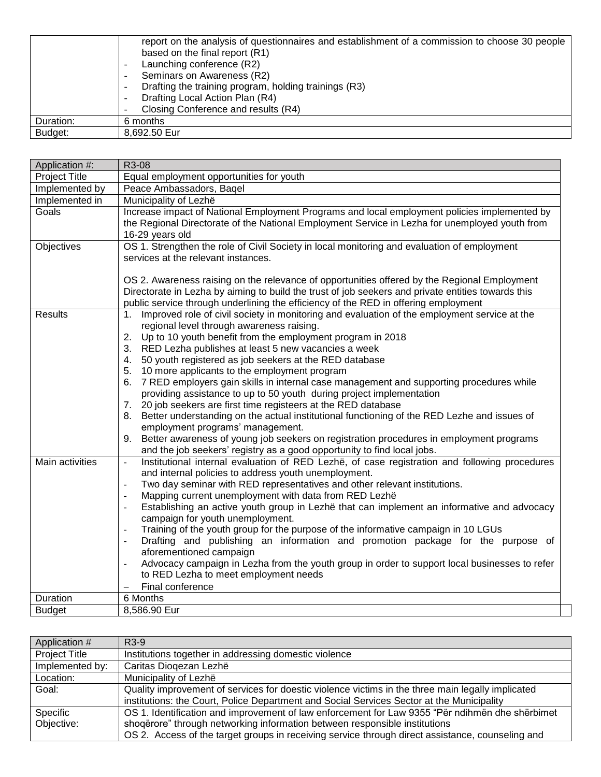|           | report on the analysis of questionnaires and establishment of a commission to choose 30 people |
|-----------|------------------------------------------------------------------------------------------------|
|           | based on the final report (R1)                                                                 |
|           | Launching conference (R2)                                                                      |
|           | Seminars on Awareness (R2)<br>$\qquad \qquad$                                                  |
|           | Drafting the training program, holding trainings (R3)<br>$\overline{\phantom{0}}$              |
|           | Drafting Local Action Plan (R4)<br>-                                                           |
|           | Closing Conference and results (R4)                                                            |
| Duration: | 6 months                                                                                       |
| Budget:   | 8,692.50 Eur                                                                                   |

| <b>Project Title</b><br>Equal employment opportunities for youth<br>Implemented by<br>Peace Ambassadors, Baqel<br>Implemented in<br>Municipality of Lezhë<br>Increase impact of National Employment Programs and local employment policies implemented by<br>Goals<br>the Regional Directorate of the National Employment Service in Lezha for unemployed youth from<br>16-29 years old<br>OS 1. Strengthen the role of Civil Society in local monitoring and evaluation of employment<br>Objectives<br>services at the relevant instances.<br>OS 2. Awareness raising on the relevance of opportunities offered by the Regional Employment<br>Directorate in Lezha by aiming to build the trust of job seekers and private entities towards this<br>public service through underlining the efficiency of the RED in offering employment<br>Improved role of civil society in monitoring and evaluation of the employment service at the<br><b>Results</b><br>1.<br>regional level through awareness raising.<br>2. Up to 10 youth benefit from the employment program in 2018<br>3. RED Lezha publishes at least 5 new vacancies a week<br>4. 50 youth registered as job seekers at the RED database<br>5. 10 more applicants to the employment program<br>6. 7 RED employers gain skills in internal case management and supporting procedures while<br>providing assistance to up to 50 youth during project implementation<br>7. 20 job seekers are first time registeers at the RED database<br>8. Better understanding on the actual institutional functioning of the RED Lezhe and issues of<br>employment programs' management.<br>Better awareness of young job seekers on registration procedures in employment programs<br>9.<br>and the job seekers' registry as a good opportunity to find local jobs.<br>Institutional internal evaluation of RED Lezhë, of case registration and following procedures<br>Main activities<br>$\bar{\phantom{a}}$<br>and internal policies to address youth unemployment.<br>Two day seminar with RED representatives and other relevant institutions.<br>$\overline{\phantom{a}}$<br>Mapping current unemployment with data from RED Lezhë<br>$\overline{\phantom{a}}$<br>Establishing an active youth group in Lezhë that can implement an informative and advocacy<br>$\sim$<br>campaign for youth unemployment.<br>Training of the youth group for the purpose of the informative campaign in 10 LGUs<br>$\Box$<br>Drafting and publishing an information and promotion package for the purpose of<br>$\overline{\phantom{a}}$<br>aforementioned campaign<br>Advocacy campaign in Lezha from the youth group in order to support local businesses to refer<br>to RED Lezha to meet employment needs<br>Final conference<br>6 Months<br>Duration<br><b>Budget</b><br>8,586.90 Eur | Application #: | R3-08 |
|-----------------------------------------------------------------------------------------------------------------------------------------------------------------------------------------------------------------------------------------------------------------------------------------------------------------------------------------------------------------------------------------------------------------------------------------------------------------------------------------------------------------------------------------------------------------------------------------------------------------------------------------------------------------------------------------------------------------------------------------------------------------------------------------------------------------------------------------------------------------------------------------------------------------------------------------------------------------------------------------------------------------------------------------------------------------------------------------------------------------------------------------------------------------------------------------------------------------------------------------------------------------------------------------------------------------------------------------------------------------------------------------------------------------------------------------------------------------------------------------------------------------------------------------------------------------------------------------------------------------------------------------------------------------------------------------------------------------------------------------------------------------------------------------------------------------------------------------------------------------------------------------------------------------------------------------------------------------------------------------------------------------------------------------------------------------------------------------------------------------------------------------------------------------------------------------------------------------------------------------------------------------------------------------------------------------------------------------------------------------------------------------------------------------------------------------------------------------------------------------------------------------------------------------------------------------------------------------------------------------------------------------------------------------------------------------------------------------------------------------------------------------------------------------------------------------------------------|----------------|-------|
|                                                                                                                                                                                                                                                                                                                                                                                                                                                                                                                                                                                                                                                                                                                                                                                                                                                                                                                                                                                                                                                                                                                                                                                                                                                                                                                                                                                                                                                                                                                                                                                                                                                                                                                                                                                                                                                                                                                                                                                                                                                                                                                                                                                                                                                                                                                                                                                                                                                                                                                                                                                                                                                                                                                                                                                                                                   |                |       |
|                                                                                                                                                                                                                                                                                                                                                                                                                                                                                                                                                                                                                                                                                                                                                                                                                                                                                                                                                                                                                                                                                                                                                                                                                                                                                                                                                                                                                                                                                                                                                                                                                                                                                                                                                                                                                                                                                                                                                                                                                                                                                                                                                                                                                                                                                                                                                                                                                                                                                                                                                                                                                                                                                                                                                                                                                                   |                |       |
|                                                                                                                                                                                                                                                                                                                                                                                                                                                                                                                                                                                                                                                                                                                                                                                                                                                                                                                                                                                                                                                                                                                                                                                                                                                                                                                                                                                                                                                                                                                                                                                                                                                                                                                                                                                                                                                                                                                                                                                                                                                                                                                                                                                                                                                                                                                                                                                                                                                                                                                                                                                                                                                                                                                                                                                                                                   |                |       |
|                                                                                                                                                                                                                                                                                                                                                                                                                                                                                                                                                                                                                                                                                                                                                                                                                                                                                                                                                                                                                                                                                                                                                                                                                                                                                                                                                                                                                                                                                                                                                                                                                                                                                                                                                                                                                                                                                                                                                                                                                                                                                                                                                                                                                                                                                                                                                                                                                                                                                                                                                                                                                                                                                                                                                                                                                                   |                |       |
|                                                                                                                                                                                                                                                                                                                                                                                                                                                                                                                                                                                                                                                                                                                                                                                                                                                                                                                                                                                                                                                                                                                                                                                                                                                                                                                                                                                                                                                                                                                                                                                                                                                                                                                                                                                                                                                                                                                                                                                                                                                                                                                                                                                                                                                                                                                                                                                                                                                                                                                                                                                                                                                                                                                                                                                                                                   |                |       |
|                                                                                                                                                                                                                                                                                                                                                                                                                                                                                                                                                                                                                                                                                                                                                                                                                                                                                                                                                                                                                                                                                                                                                                                                                                                                                                                                                                                                                                                                                                                                                                                                                                                                                                                                                                                                                                                                                                                                                                                                                                                                                                                                                                                                                                                                                                                                                                                                                                                                                                                                                                                                                                                                                                                                                                                                                                   |                |       |
|                                                                                                                                                                                                                                                                                                                                                                                                                                                                                                                                                                                                                                                                                                                                                                                                                                                                                                                                                                                                                                                                                                                                                                                                                                                                                                                                                                                                                                                                                                                                                                                                                                                                                                                                                                                                                                                                                                                                                                                                                                                                                                                                                                                                                                                                                                                                                                                                                                                                                                                                                                                                                                                                                                                                                                                                                                   |                |       |
|                                                                                                                                                                                                                                                                                                                                                                                                                                                                                                                                                                                                                                                                                                                                                                                                                                                                                                                                                                                                                                                                                                                                                                                                                                                                                                                                                                                                                                                                                                                                                                                                                                                                                                                                                                                                                                                                                                                                                                                                                                                                                                                                                                                                                                                                                                                                                                                                                                                                                                                                                                                                                                                                                                                                                                                                                                   |                |       |
|                                                                                                                                                                                                                                                                                                                                                                                                                                                                                                                                                                                                                                                                                                                                                                                                                                                                                                                                                                                                                                                                                                                                                                                                                                                                                                                                                                                                                                                                                                                                                                                                                                                                                                                                                                                                                                                                                                                                                                                                                                                                                                                                                                                                                                                                                                                                                                                                                                                                                                                                                                                                                                                                                                                                                                                                                                   |                |       |
|                                                                                                                                                                                                                                                                                                                                                                                                                                                                                                                                                                                                                                                                                                                                                                                                                                                                                                                                                                                                                                                                                                                                                                                                                                                                                                                                                                                                                                                                                                                                                                                                                                                                                                                                                                                                                                                                                                                                                                                                                                                                                                                                                                                                                                                                                                                                                                                                                                                                                                                                                                                                                                                                                                                                                                                                                                   |                |       |

| Application #        | R <sub>3</sub> -9                                                                                 |
|----------------------|---------------------------------------------------------------------------------------------------|
| <b>Project Title</b> | Institutions together in addressing domestic violence                                             |
| Implemented by:      | Caritas Diogezan Lezhë                                                                            |
| Location:            | Municipality of Lezhë                                                                             |
| Goal:                | Quality improvement of services for doestic violence victims in the three main legally implicated |
|                      | institutions: the Court, Police Department and Social Services Sector at the Municipality         |
| Specific             | OS 1. Identification and improvement of law enforcement for Law 9355 "Për ndihmën dhe shërbimet   |
| Objective:           | shoqërore" through networking information between responsible institutions                        |
|                      | OS 2. Access of the target groups in receiving service through direct assistance, counseling and  |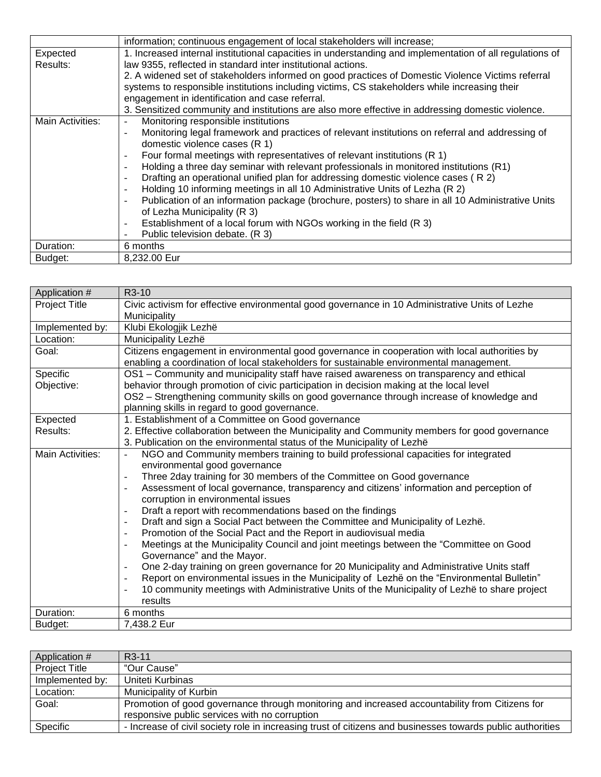|                  | information; continuous engagement of local stakeholders will increase;                                            |
|------------------|--------------------------------------------------------------------------------------------------------------------|
| Expected         | 1. Increased internal institutional capacities in understanding and implementation of all regulations of           |
| Results:         | law 9355, reflected in standard inter institutional actions.                                                       |
|                  | 2. A widened set of stakeholders informed on good practices of Domestic Violence Victims referral                  |
|                  | systems to responsible institutions including victims, CS stakeholders while increasing their                      |
|                  | engagement in identification and case referral.                                                                    |
|                  | 3. Sensitized community and institutions are also more effective in addressing domestic violence.                  |
| Main Activities: | Monitoring responsible institutions<br>$\overline{\phantom{a}}$                                                    |
|                  | Monitoring legal framework and practices of relevant institutions on referral and addressing of<br>$\blacksquare$  |
|                  | domestic violence cases (R 1)                                                                                      |
|                  | Four formal meetings with representatives of relevant institutions (R 1)<br>$\overline{\phantom{a}}$               |
|                  | Holding a three day seminar with relevant professionals in monitored institutions (R1)<br>$\overline{\phantom{a}}$ |
|                  | Drafting an operational unified plan for addressing domestic violence cases (R 2)<br>$\overline{\phantom{a}}$      |
|                  | Holding 10 informing meetings in all 10 Administrative Units of Lezha (R 2)<br>$\blacksquare$                      |
|                  | Publication of an information package (brochure, posters) to share in all 10 Administrative Units<br>$\sim$        |
|                  | of Lezha Municipality (R 3)                                                                                        |
|                  | Establishment of a local forum with NGOs working in the field (R 3)<br>$\overline{\phantom{a}}$                    |
|                  | Public television debate. (R 3)                                                                                    |
| Duration:        | 6 months                                                                                                           |
| Budget:          | 8,232.00 Eur                                                                                                       |

| Application #        | R <sub>3</sub> -10                                                                                                                               |
|----------------------|--------------------------------------------------------------------------------------------------------------------------------------------------|
| <b>Project Title</b> | Civic activism for effective environmental good governance in 10 Administrative Units of Lezhe                                                   |
|                      | Municipality                                                                                                                                     |
| Implemented by:      | Klubi Ekologjik Lezhë                                                                                                                            |
| Location:            | Municipality Lezhë                                                                                                                               |
| Goal:                | Citizens engagement in environmental good governance in cooperation with local authorities by                                                    |
|                      | enabling a coordination of local stakeholders for sustainable environmental management.                                                          |
| Specific             | OS1 - Community and municipality staff have raised awareness on transparency and ethical                                                         |
| Objective:           | behavior through promotion of civic participation in decision making at the local level                                                          |
|                      | OS2 - Strengthening community skills on good governance through increase of knowledge and                                                        |
|                      | planning skills in regard to good governance.                                                                                                    |
| Expected             | 1. Establishment of a Committee on Good governance                                                                                               |
| Results:             | 2. Effective collaboration between the Municipality and Community members for good governance                                                    |
|                      | 3. Publication on the environmental status of the Municipality of Lezhë                                                                          |
| Main Activities:     | NGO and Community members training to build professional capacities for integrated<br>$\blacksquare$                                             |
|                      | environmental good governance                                                                                                                    |
|                      | Three 2day training for 30 members of the Committee on Good governance<br>$\overline{a}$                                                         |
|                      | Assessment of local governance, transparency and citizens' information and perception of<br>$\overline{a}$<br>corruption in environmental issues |
|                      | Draft a report with recommendations based on the findings<br>$\overline{\phantom{a}}$                                                            |
|                      | Draft and sign a Social Pact between the Committee and Municipality of Lezhë.<br>$\overline{\phantom{a}}$                                        |
|                      | Promotion of the Social Pact and the Report in audiovisual media<br>$\overline{\phantom{a}}$                                                     |
|                      | Meetings at the Municipality Council and joint meetings between the "Committee on Good"<br>$\overline{\phantom{a}}$                              |
|                      | Governance" and the Mayor.                                                                                                                       |
|                      | One 2-day training on green governance for 20 Municipality and Administrative Units staff<br>$\overline{a}$                                      |
|                      | Report on environmental issues in the Municipality of Lezhë on the "Environmental Bulletin"<br>$\overline{a}$                                    |
|                      | 10 community meetings with Administrative Units of the Municipality of Lezhë to share project<br>$\blacksquare$                                  |
|                      | results                                                                                                                                          |
| Duration:            | 6 months                                                                                                                                         |
| Budget:              | 7,438.2 Eur                                                                                                                                      |

| Application #        | R <sub>3</sub> -11                                                                                         |
|----------------------|------------------------------------------------------------------------------------------------------------|
| <b>Project Title</b> | "Our Cause"                                                                                                |
| Implemented by:      | Uniteti Kurbinas                                                                                           |
| Location:            | Municipality of Kurbin                                                                                     |
| Goal:                | Promotion of good governance through monitoring and increased accountability from Citizens for             |
|                      | responsive public services with no corruption                                                              |
| Specific             | - Increase of civil society role in increasing trust of citizens and businesses towards public authorities |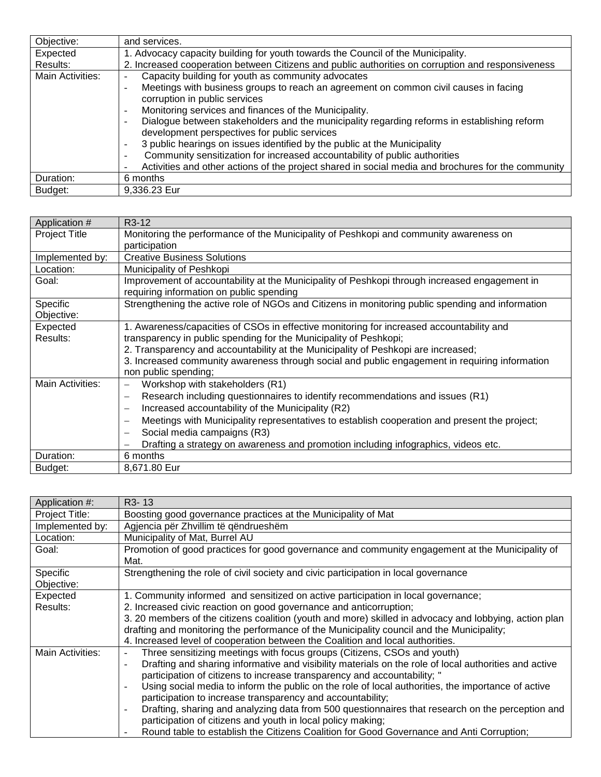| Objective:       | and services.                                                                                                           |
|------------------|-------------------------------------------------------------------------------------------------------------------------|
| Expected         | 1. Advocacy capacity building for youth towards the Council of the Municipality.                                        |
| Results:         | 2. Increased cooperation between Citizens and public authorities on corruption and responsiveness                       |
| Main Activities: | Capacity building for youth as community advocates                                                                      |
|                  | Meetings with business groups to reach an agreement on common civil causes in facing<br>$\overline{\phantom{a}}$        |
|                  | corruption in public services                                                                                           |
|                  | Monitoring services and finances of the Municipality.<br>$\overline{\phantom{a}}$                                       |
|                  | Dialogue between stakeholders and the municipality regarding reforms in establishing reform<br>$\overline{\phantom{a}}$ |
|                  | development perspectives for public services                                                                            |
|                  | 3 public hearings on issues identified by the public at the Municipality<br>$\overline{\phantom{a}}$                    |
|                  | Community sensitization for increased accountability of public authorities<br>$\sim$                                    |
|                  | Activities and other actions of the project shared in social media and brochures for the community                      |
| Duration:        | 6 months                                                                                                                |
| Budget:          | 9,336.23 Eur                                                                                                            |

| Application #          | R <sub>3</sub> -12                                                                                                                        |
|------------------------|-------------------------------------------------------------------------------------------------------------------------------------------|
| <b>Project Title</b>   | Monitoring the performance of the Municipality of Peshkopi and community awareness on                                                     |
|                        | participation                                                                                                                             |
| Implemented by:        | <b>Creative Business Solutions</b>                                                                                                        |
| Location:              | Municipality of Peshkopi                                                                                                                  |
| Goal:                  | Improvement of accountability at the Municipality of Peshkopi through increased engagement in<br>requiring information on public spending |
| Specific<br>Objective: | Strengthening the active role of NGOs and Citizens in monitoring public spending and information                                          |
|                        |                                                                                                                                           |
| Expected               | 1. Awareness/capacities of CSOs in effective monitoring for increased accountability and                                                  |
| Results:               | transparency in public spending for the Municipality of Peshkopi;                                                                         |
|                        | 2. Transparency and accountability at the Municipality of Peshkopi are increased;                                                         |
|                        | 3. Increased community awareness through social and public engagement in requiring information                                            |
|                        | non public spending;                                                                                                                      |
| Main Activities:       | Workshop with stakeholders (R1)<br>$\qquad \qquad -$                                                                                      |
|                        | Research including questionnaires to identify recommendations and issues (R1)<br>$\overline{\phantom{0}}$                                 |
|                        | Increased accountability of the Municipality (R2)<br>$\overline{\phantom{0}}$                                                             |
|                        | Meetings with Municipality representatives to establish cooperation and present the project;<br>$\overline{\phantom{0}}$                  |
|                        | Social media campaigns (R3)<br>$\overline{\phantom{0}}$                                                                                   |
|                        | Drafting a strategy on awareness and promotion including infographics, videos etc.                                                        |
| Duration:              | 6 months                                                                                                                                  |
| Budget:                | 8,671.80 Eur                                                                                                                              |

| Application #:   | R <sub>3</sub> -13                                                                                                             |
|------------------|--------------------------------------------------------------------------------------------------------------------------------|
| Project Title:   | Boosting good governance practices at the Municipality of Mat                                                                  |
| Implemented by:  | Agjencia për Zhvillim të gëndrueshëm                                                                                           |
| Location:        | Municipality of Mat, Burrel AU                                                                                                 |
| Goal:            | Promotion of good practices for good governance and community engagement at the Municipality of                                |
|                  | Mat.                                                                                                                           |
| Specific         | Strengthening the role of civil society and civic participation in local governance                                            |
| Objective:       |                                                                                                                                |
| Expected         | 1. Community informed and sensitized on active participation in local governance;                                              |
| Results:         | 2. Increased civic reaction on good governance and anticorruption;                                                             |
|                  | 3. 20 members of the citizens coalition (youth and more) skilled in advocacy and lobbying, action plan                         |
|                  | drafting and monitoring the performance of the Municipality council and the Municipality;                                      |
|                  | 4. Increased level of cooperation between the Coalition and local authorities.                                                 |
| Main Activities: | Three sensitizing meetings with focus groups (Citizens, CSOs and youth)                                                        |
|                  | Drafting and sharing informative and visibility materials on the role of local authorities and active<br>$\overline{a}$        |
|                  | participation of citizens to increase transparency and accountability; "                                                       |
|                  | Using social media to inform the public on the role of local authorities, the importance of active<br>$\overline{\phantom{a}}$ |
|                  | participation to increase transparency and accountability;                                                                     |
|                  | Drafting, sharing and analyzing data from 500 questionnaires that research on the perception and<br>$\overline{\phantom{a}}$   |
|                  | participation of citizens and youth in local policy making;                                                                    |
|                  | Round table to establish the Citizens Coalition for Good Governance and Anti Corruption;                                       |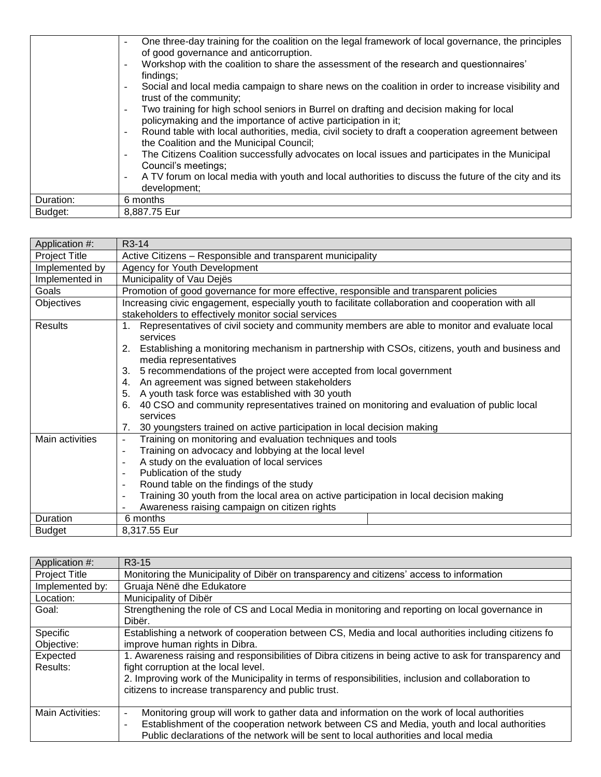|           | One three-day training for the coalition on the legal framework of local governance, the principles<br>of good governance and anticorruption.<br>Workshop with the coalition to share the assessment of the research and questionnaires'<br>$\sim$<br>findings; |
|-----------|-----------------------------------------------------------------------------------------------------------------------------------------------------------------------------------------------------------------------------------------------------------------|
|           | Social and local media campaign to share news on the coalition in order to increase visibility and<br>$\sim$<br>trust of the community;                                                                                                                         |
|           | Two training for high school seniors in Burrel on drafting and decision making for local<br>$\overline{\phantom{a}}$<br>policymaking and the importance of active participation in it;                                                                          |
|           | Round table with local authorities, media, civil society to draft a cooperation agreement between<br>$\sim$<br>the Coalition and the Municipal Council;                                                                                                         |
|           | The Citizens Coalition successfully advocates on local issues and participates in the Municipal<br>$\overline{\phantom{a}}$<br>Council's meetings;                                                                                                              |
|           | A TV forum on local media with youth and local authorities to discuss the future of the city and its<br>$\blacksquare$<br>development;                                                                                                                          |
| Duration: | 6 months                                                                                                                                                                                                                                                        |
| Budget:   | 8,887.75 Eur                                                                                                                                                                                                                                                    |

| Application #:  | $R3-14$                                                                                                                    |
|-----------------|----------------------------------------------------------------------------------------------------------------------------|
| Project Title   | Active Citizens - Responsible and transparent municipality                                                                 |
| Implemented by  | Agency for Youth Development                                                                                               |
| Implemented in  | Municipality of Vau Dejës                                                                                                  |
| Goals           | Promotion of good governance for more effective, responsible and transparent policies                                      |
| Objectives      | Increasing civic engagement, especially youth to facilitate collaboration and cooperation with all                         |
|                 | stakeholders to effectively monitor social services                                                                        |
| Results         | 1. Representatives of civil society and community members are able to monitor and evaluate local<br>services               |
|                 | 2. Establishing a monitoring mechanism in partnership with CSOs, citizens, youth and business and<br>media representatives |
|                 | 5 recommendations of the project were accepted from local government<br>3.                                                 |
|                 | An agreement was signed between stakeholders<br>4.                                                                         |
|                 | A youth task force was established with 30 youth<br>5.                                                                     |
|                 | 40 CSO and community representatives trained on monitoring and evaluation of public local<br>6.<br>services                |
|                 | 30 youngsters trained on active participation in local decision making<br>7.                                               |
| Main activities | Training on monitoring and evaluation techniques and tools<br>$\blacksquare$                                               |
|                 | Training on advocacy and lobbying at the local level<br>$\overline{\phantom{a}}$                                           |
|                 | A study on the evaluation of local services<br>$\blacksquare$                                                              |
|                 | Publication of the study<br>$\overline{\phantom{a}}$                                                                       |
|                 | Round table on the findings of the study<br>$\overline{\phantom{a}}$                                                       |
|                 | Training 30 youth from the local area on active participation in local decision making                                     |
|                 | Awareness raising campaign on citizen rights                                                                               |
| Duration        | 6 months                                                                                                                   |
| <b>Budget</b>   | 8,317.55 Eur                                                                                                               |

| Application #:       | R <sub>3</sub> -15                                                                                                     |
|----------------------|------------------------------------------------------------------------------------------------------------------------|
| <b>Project Title</b> | Monitoring the Municipality of Diber on transparency and citizens' access to information                               |
| Implemented by:      | Gruaja Nënë dhe Edukatore                                                                                              |
| Location:            | Municipality of Dibër                                                                                                  |
| Goal:                | Strengthening the role of CS and Local Media in monitoring and reporting on local governance in                        |
|                      | Dibër.                                                                                                                 |
| Specific             | Establishing a network of cooperation between CS, Media and local authorities including citizens fo                    |
| Objective:           | improve human rights in Dibra.                                                                                         |
| Expected             | 1. Awareness raising and responsibilities of Dibra citizens in being active to ask for transparency and                |
| Results:             | fight corruption at the local level.                                                                                   |
|                      | 2. Improving work of the Municipality in terms of responsibilities, inclusion and collaboration to                     |
|                      | citizens to increase transparency and public trust.                                                                    |
|                      |                                                                                                                        |
| Main Activities:     | Monitoring group will work to gather data and information on the work of local authorities<br>$\overline{\phantom{a}}$ |
|                      | Establishment of the cooperation network between CS and Media, youth and local authorities<br>$\blacksquare$           |
|                      | Public declarations of the network will be sent to local authorities and local media                                   |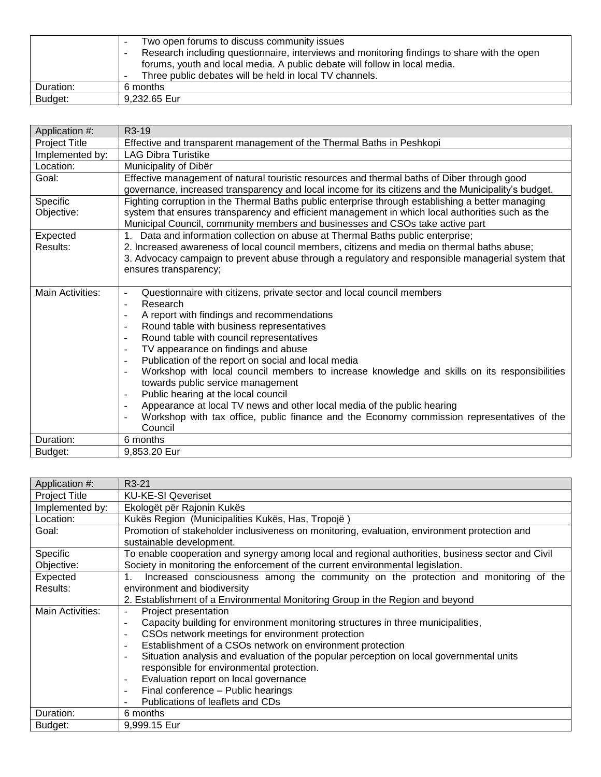|           | Two open forums to discuss community issues<br>-<br>Research including questionnaire, interviews and monitoring findings to share with the open<br>$\overline{\phantom{a}}$<br>forums, youth and local media. A public debate will follow in local media.<br>Three public debates will be held in local TV channels.<br>$\overline{\phantom{a}}$ |
|-----------|--------------------------------------------------------------------------------------------------------------------------------------------------------------------------------------------------------------------------------------------------------------------------------------------------------------------------------------------------|
| Duration: | 6 months                                                                                                                                                                                                                                                                                                                                         |
| Budget:   | 9.232.65 Eur                                                                                                                                                                                                                                                                                                                                     |

| Application #:       | R3-19                                                                                                                                                                                                       |
|----------------------|-------------------------------------------------------------------------------------------------------------------------------------------------------------------------------------------------------------|
| <b>Project Title</b> | Effective and transparent management of the Thermal Baths in Peshkopi                                                                                                                                       |
| Implemented by:      | <b>LAG Dibra Turistike</b>                                                                                                                                                                                  |
| Location:            | Municipality of Dibër                                                                                                                                                                                       |
| Goal:                | Effective management of natural touristic resources and thermal baths of Diber through good                                                                                                                 |
|                      | governance, increased transparency and local income for its citizens and the Municipality's budget.                                                                                                         |
| Specific             | Fighting corruption in the Thermal Baths public enterprise through establishing a better managing                                                                                                           |
| Objective:           | system that ensures transparency and efficient management in which local authorities such as the<br>Municipal Council, community members and businesses and CSOs take active part                           |
| Expected             | Data and information collection on abuse at Thermal Baths public enterprise;<br>1.                                                                                                                          |
| Results:             | 2. Increased awareness of local council members, citizens and media on thermal baths abuse;                                                                                                                 |
|                      | 3. Advocacy campaign to prevent abuse through a regulatory and responsible managerial system that                                                                                                           |
|                      | ensures transparency;                                                                                                                                                                                       |
|                      |                                                                                                                                                                                                             |
| Main Activities:     | Questionnaire with citizens, private sector and local council members<br>$\blacksquare$                                                                                                                     |
|                      | Research<br>$\blacksquare$                                                                                                                                                                                  |
|                      | A report with findings and recommendations                                                                                                                                                                  |
|                      | Round table with business representatives<br>$\overline{\phantom{a}}$                                                                                                                                       |
|                      | Round table with council representatives<br>$\overline{\phantom{a}}$                                                                                                                                        |
|                      | TV appearance on findings and abuse<br>$\sim$                                                                                                                                                               |
|                      | Publication of the report on social and local media<br>$\overline{\phantom{a}}$<br>Workshop with local council members to increase knowledge and skills on its responsibilities<br>$\overline{\phantom{a}}$ |
|                      | towards public service management                                                                                                                                                                           |
|                      | Public hearing at the local council                                                                                                                                                                         |
|                      | Appearance at local TV news and other local media of the public hearing<br>$\sim$                                                                                                                           |
|                      | Workshop with tax office, public finance and the Economy commission representatives of the                                                                                                                  |
|                      | Council                                                                                                                                                                                                     |
| Duration:            | 6 months                                                                                                                                                                                                    |
| Budget:              | 9,853.20 Eur                                                                                                                                                                                                |

| Application #:       | R <sub>3</sub> -21                                                                                |
|----------------------|---------------------------------------------------------------------------------------------------|
| <b>Project Title</b> | <b>KU-KE-SI Qeveriset</b>                                                                         |
| Implemented by:      | Ekologët për Rajonin Kukës                                                                        |
| Location:            | Kukës Region (Municipalities Kukës, Has, Tropojë)                                                 |
| Goal:                | Promotion of stakeholder inclusiveness on monitoring, evaluation, environment protection and      |
|                      | sustainable development.                                                                          |
| Specific             | To enable cooperation and synergy among local and regional authorities, business sector and Civil |
| Objective:           | Society in monitoring the enforcement of the current environmental legislation.                   |
| Expected             | Increased consciousness among the community on the protection and monitoring of the               |
| Results:             | environment and biodiversity                                                                      |
|                      | 2. Establishment of a Environmental Monitoring Group in the Region and beyond                     |
| Main Activities:     | Project presentation                                                                              |
|                      | Capacity building for environment monitoring structures in three municipalities,<br>L,            |
|                      | CSOs network meetings for environment protection<br>$\overline{\phantom{a}}$                      |
|                      | Establishment of a CSOs network on environment protection<br>۰                                    |
|                      | Situation analysis and evaluation of the popular perception on local governmental units<br>۰      |
|                      | responsible for environmental protection.                                                         |
|                      | Evaluation report on local governance<br>$\overline{\phantom{a}}$                                 |
|                      | Final conference - Public hearings<br>-                                                           |
|                      | Publications of leaflets and CDs<br>۰                                                             |
| Duration:            | 6 months                                                                                          |
| Budget:              | 9,999.15 Eur                                                                                      |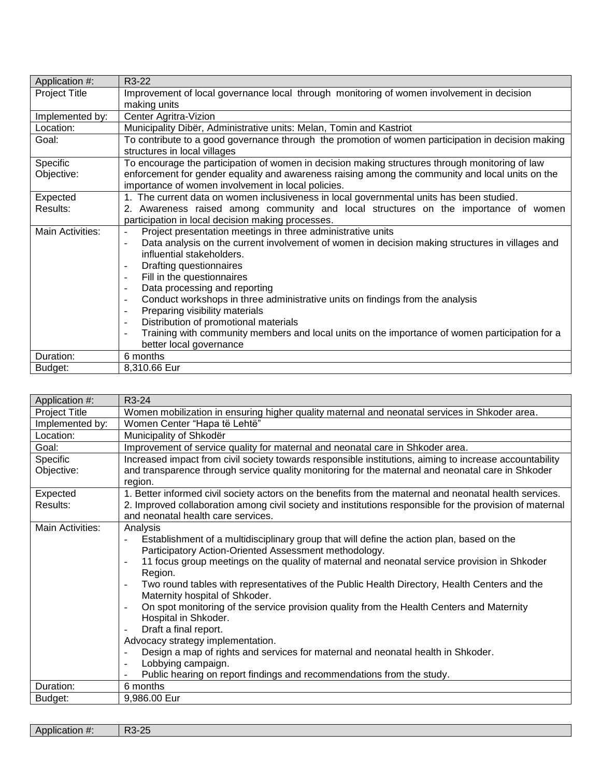| Application #:       | R3-22                                                                                                       |
|----------------------|-------------------------------------------------------------------------------------------------------------|
| <b>Project Title</b> | Improvement of local governance local through monitoring of women involvement in decision                   |
|                      | making units                                                                                                |
| Implemented by:      | Center Agritra-Vizion                                                                                       |
| Location:            | Municipality Dibër, Administrative units: Melan, Tomin and Kastriot                                         |
| Goal:                | To contribute to a good governance through the promotion of women participation in decision making          |
|                      | structures in local villages                                                                                |
| Specific             | To encourage the participation of women in decision making structures through monitoring of law             |
| Objective:           | enforcement for gender equality and awareness raising among the community and local units on the            |
|                      | importance of women involvement in local policies.                                                          |
| Expected             | 1. The current data on women inclusiveness in local governmental units has been studied.                    |
| Results:             | 2. Awareness raised among community and local structures on the importance of women                         |
|                      | participation in local decision making processes.                                                           |
| Main Activities:     | Project presentation meetings in three administrative units<br>$\qquad \qquad \Box$                         |
|                      | Data analysis on the current involvement of women in decision making structures in villages and<br>$\omega$ |
|                      | influential stakeholders.                                                                                   |
|                      | Drafting questionnaires<br>$\overline{\phantom{a}}$                                                         |
|                      | Fill in the questionnaires<br>$\overline{\phantom{a}}$                                                      |
|                      | Data processing and reporting<br>$\overline{\phantom{a}}$                                                   |
|                      | Conduct workshops in three administrative units on findings from the analysis<br>$\overline{\phantom{a}}$   |
|                      | Preparing visibility materials<br>$\overline{\phantom{a}}$                                                  |
|                      | Distribution of promotional materials<br>$\overline{\phantom{a}}$                                           |
|                      | Training with community members and local units on the importance of women participation for a              |
|                      | better local governance                                                                                     |
| Duration:            | 6 months                                                                                                    |
| Budget:              | 8,310.66 Eur                                                                                                |

| Application #:       | R3-24                                                                                                                                            |
|----------------------|--------------------------------------------------------------------------------------------------------------------------------------------------|
| <b>Project Title</b> | Women mobilization in ensuring higher quality maternal and neonatal services in Shkoder area.                                                    |
| Implemented by:      | Women Center "Hapa të Lehtë"                                                                                                                     |
| Location:            | Municipality of Shkodër                                                                                                                          |
| Goal:                | Improvement of service quality for maternal and neonatal care in Shkoder area.                                                                   |
| Specific             | Increased impact from civil society towards responsible institutions, aiming to increase accountability                                          |
| Objective:           | and transparence through service quality monitoring for the maternal and neonatal care in Shkoder<br>region.                                     |
| Expected             | 1. Better informed civil society actors on the benefits from the maternal and neonatal health services.                                          |
| Results:             | 2. Improved collaboration among civil society and institutions responsible for the provision of maternal<br>and neonatal health care services.   |
| Main Activities:     | Analysis                                                                                                                                         |
|                      | Establishment of a multidisciplinary group that will define the action plan, based on the<br>$\blacksquare$                                      |
|                      | Participatory Action-Oriented Assessment methodology.                                                                                            |
|                      | 11 focus group meetings on the quality of maternal and neonatal service provision in Shkoder<br>Region.                                          |
|                      | Two round tables with representatives of the Public Health Directory, Health Centers and the<br>$\blacksquare$<br>Maternity hospital of Shkoder. |
|                      | On spot monitoring of the service provision quality from the Health Centers and Maternity<br>$\overline{\phantom{a}}$                            |
|                      | Hospital in Shkoder.                                                                                                                             |
|                      | Draft a final report.                                                                                                                            |
|                      | Advocacy strategy implementation.                                                                                                                |
|                      | Design a map of rights and services for maternal and neonatal health in Shkoder.<br>$\overline{\phantom{a}}$                                     |
|                      | Lobbying campaign.<br>$\overline{\phantom{a}}$                                                                                                   |
|                      | Public hearing on report findings and recommendations from the study.                                                                            |
| Duration:            | 6 months                                                                                                                                         |
| Budget:              | 9,986.00 Eur                                                                                                                                     |

| $\sim$<br>$\bm{\pi}$<br>. |  |
|---------------------------|--|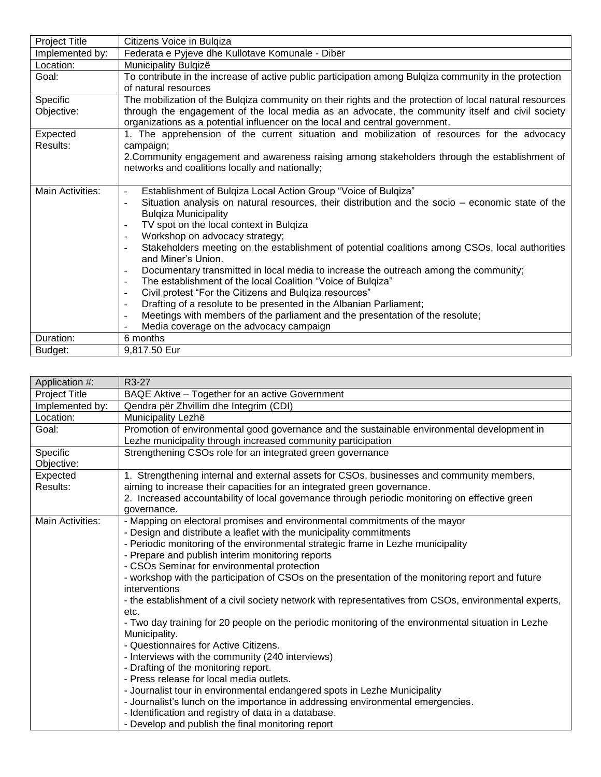| <b>Project Title</b> | Citizens Voice in Bulgiza                                                                                        |
|----------------------|------------------------------------------------------------------------------------------------------------------|
| Implemented by:      | Federata e Pyjeve dhe Kullotave Komunale - Dibër                                                                 |
| Location:            | Municipality Bulqizë                                                                                             |
| Goal:                | To contribute in the increase of active public participation among Bulgiza community in the protection           |
|                      | of natural resources                                                                                             |
| Specific             | The mobilization of the Bulgiza community on their rights and the protection of local natural resources          |
| Objective:           | through the engagement of the local media as an advocate, the community itself and civil society                 |
|                      | organizations as a potential influencer on the local and central government.                                     |
| Expected             | 1. The apprehension of the current situation and mobilization of resources for the advocacy                      |
| Results:             | campaign;                                                                                                        |
|                      | 2. Community engagement and awareness raising among stakeholders through the establishment of                    |
|                      | networks and coalitions locally and nationally;                                                                  |
|                      |                                                                                                                  |
| Main Activities:     | Establishment of Bulgiza Local Action Group "Voice of Bulgiza"<br>$\overline{\phantom{a}}$                       |
|                      | Situation analysis on natural resources, their distribution and the socio – economic state of the<br>÷,          |
|                      | <b>Bulgiza Municipality</b>                                                                                      |
|                      | TV spot on the local context in Bulgiza<br>$\overline{\phantom{a}}$<br>Workshop on advocacy strategy;<br>$\sim$  |
|                      | Stakeholders meeting on the establishment of potential coalitions among CSOs, local authorities                  |
|                      | and Miner's Union.                                                                                               |
|                      | Documentary transmitted in local media to increase the outreach among the community;<br>$\overline{\phantom{a}}$ |
|                      | The establishment of the local Coalition "Voice of Bulgiza"<br>$\overline{\phantom{a}}$                          |
|                      | Civil protest "For the Citizens and Bulgiza resources"<br>$\overline{\phantom{a}}$                               |
|                      | Drafting of a resolute to be presented in the Albanian Parliament;<br>$\overline{\phantom{a}}$                   |
|                      | Meetings with members of the parliament and the presentation of the resolute;<br>$\overline{\phantom{a}}$        |
|                      | Media coverage on the advocacy campaign                                                                          |
| Duration:            | 6 months                                                                                                         |
| Budget:              | 9.817.50 Eur                                                                                                     |

| Application #:       | R <sub>3</sub> -27                                                                                                 |
|----------------------|--------------------------------------------------------------------------------------------------------------------|
| <b>Project Title</b> | BAQE Aktive - Together for an active Government                                                                    |
| Implemented by:      | Qendra për Zhvillim dhe Integrim (CDI)                                                                             |
| Location:            | Municipality Lezhë                                                                                                 |
| Goal:                | Promotion of environmental good governance and the sustainable environmental development in                        |
|                      | Lezhe municipality through increased community participation                                                       |
| Specific             | Strengthening CSOs role for an integrated green governance                                                         |
| Objective:           |                                                                                                                    |
| Expected             | 1. Strengthening internal and external assets for CSOs, businesses and community members,                          |
| Results:             | aiming to increase their capacities for an integrated green governance.                                            |
|                      | 2. Increased accountability of local governance through periodic monitoring on effective green                     |
|                      | governance.                                                                                                        |
| Main Activities:     | - Mapping on electoral promises and environmental commitments of the mayor                                         |
|                      | - Design and distribute a leaflet with the municipality commitments                                                |
|                      | - Periodic monitoring of the environmental strategic frame in Lezhe municipality                                   |
|                      | - Prepare and publish interim monitoring reports                                                                   |
|                      | - CSOs Seminar for environmental protection                                                                        |
|                      | - workshop with the participation of CSOs on the presentation of the monitoring report and future<br>interventions |
|                      | - the establishment of a civil society network with representatives from CSOs, environmental experts,              |
|                      | etc.                                                                                                               |
|                      | - Two day training for 20 people on the periodic monitoring of the environmental situation in Lezhe                |
|                      | Municipality.                                                                                                      |
|                      | - Questionnaires for Active Citizens.                                                                              |
|                      | - Interviews with the community (240 interviews)                                                                   |
|                      | - Drafting of the monitoring report.                                                                               |
|                      | - Press release for local media outlets.                                                                           |
|                      | - Journalist tour in environmental endangered spots in Lezhe Municipality                                          |
|                      | - Journalist's lunch on the importance in addressing environmental emergencies.                                    |
|                      | - Identification and registry of data in a database.                                                               |
|                      | - Develop and publish the final monitoring report                                                                  |